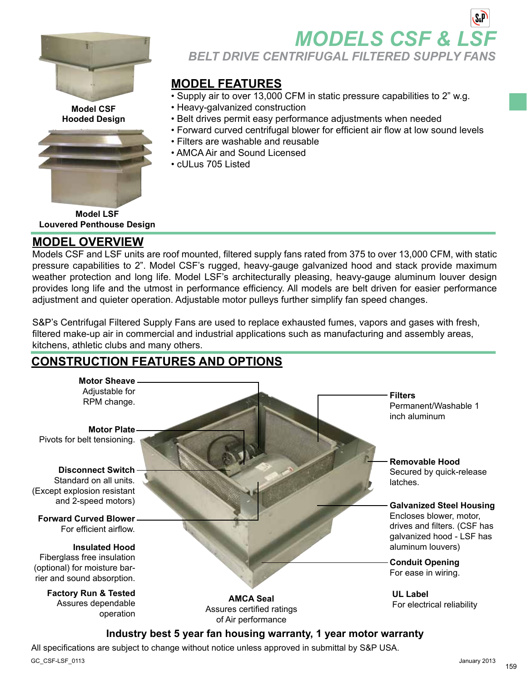

**Model CSF Hooded Design**



**Model LSF Louvered Penthouse Design**

### **Model Overview**

Models CSF and LSF units are roof mounted, filtered supply fans rated from 375 to over 13,000 CFM, with static pressure capabilities to 2". Model CSF's rugged, heavy-gauge galvanized hood and stack provide maximum weather protection and long life. Model LSF's architecturally pleasing, heavy-gauge aluminum louver design provides long life and the utmost in performance efficiency. All models are belt driven for easier performance adjustment and quieter operation. Adjustable motor pulleys further simplify fan speed changes.

S&P's Centrifugal Filtered Supply Fans are used to replace exhausted fumes, vapors and gases with fresh, filtered make-up air in commercial and industrial applications such as manufacturing and assembly areas, kitchens, athletic clubs and many others.

## **Construction Features and Options**



### **Industry best 5 year fan housing warranty, 1 year motor warranty**

All specifications are subject to change without notice unless approved in submittal by S&P USA.

GC\_CSF-LSF\_0113 January 2013

**MODELS CSF & LS** *BELT DRIVE CENTRIFUGAL FILTERED SUPPLY FANS*

### **Model Features**

- Supply air to over 13,000 CFM in static pressure capabilities to 2" w.g.
- Heavy-galvanized construction
- Belt drives permit easy performance adjustments when needed
- Forward curved centrifugal blower for efficient air flow at low sound levels
- Filters are washable and reusable
- AMCA Air and Sound Licensed
- cULus 705 Listed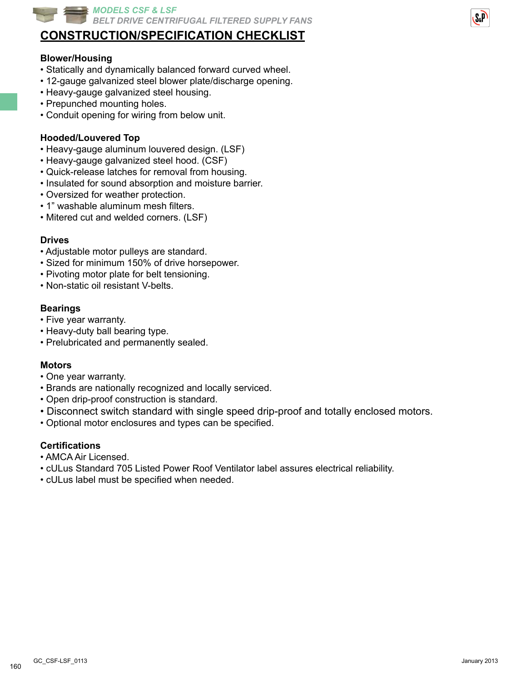

## **Construction/Specification Checklist**

#### **Blower/Housing**

- Statically and dynamically balanced forward curved wheel.
- 12-gauge galvanized steel blower plate/discharge opening.
- Heavy-gauge galvanized steel housing.
- Prepunched mounting holes.
- Conduit opening for wiring from below unit.

#### **Hooded/Louvered Top**

- Heavy-gauge aluminum louvered design. (LSF)
- Heavy-gauge galvanized steel hood. (CSF)
- Quick-release latches for removal from housing.
- Insulated for sound absorption and moisture barrier.
- Oversized for weather protection.
- 1" washable aluminum mesh filters.
- Mitered cut and welded corners. (LSF)

#### **Drives**

- Adjustable motor pulleys are standard.
- Sized for minimum 150% of drive horsepower.
- Pivoting motor plate for belt tensioning.
- Non-static oil resistant V-belts.

#### **Bearings**

- Five year warranty.
- Heavy-duty ball bearing type.
- Prelubricated and permanently sealed.

#### **Motors**

- One year warranty.
- Brands are nationally recognized and locally serviced.
- Open drip-proof construction is standard.
- Disconnect switch standard with single speed drip-proof and totally enclosed motors.
- Optional motor enclosures and types can be specified.

#### **Certifications**

- AMCA Air Licensed.
- cULus Standard 705 Listed Power Roof Ventilator label assures electrical reliability.
- cULus label must be specified when needed.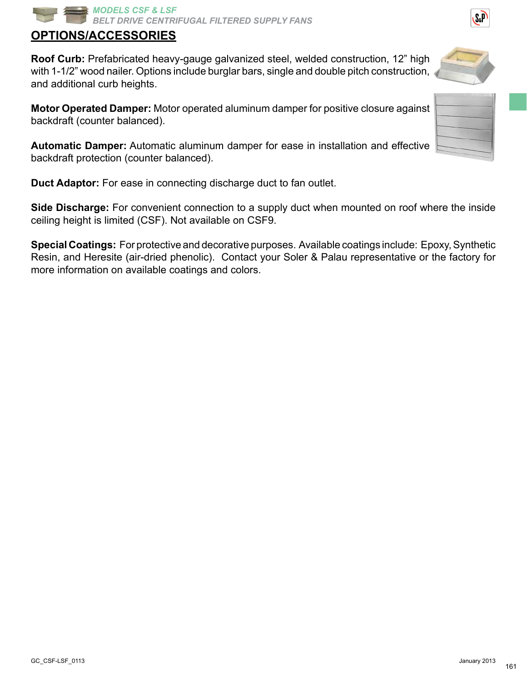161

# **Options/Accessories**

**Roof Curb:** Prefabricated heavy-gauge galvanized steel, welded construction, 12" high with 1-1/2" wood nailer. Options include burglar bars, single and double pitch construction, and additional curb heights.

**Motor Operated Damper:** Motor operated aluminum damper for positive closure against backdraft (counter balanced).

**Automatic Damper:** Automatic aluminum damper for ease in installation and effective backdraft protection (counter balanced).

**Duct Adaptor:** For ease in connecting discharge duct to fan outlet.

**Side Discharge:** For convenient connection to a supply duct when mounted on roof where the inside ceiling height is limited (CSF). Not available on CSF9.

**Special Coatings:** For protective and decorative purposes. Available coatings include: Epoxy, Synthetic Resin, and Heresite (air-dried phenolic). Contact your Soler & Palau representative or the factory for more information on available coatings and colors.



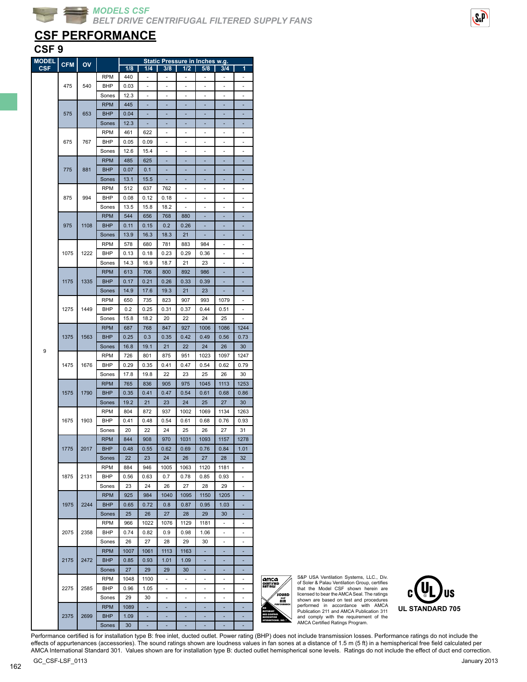## **CSF PERFORMANCE**

### **CSF 9**

| <b>MODEL</b> | <b>CFM</b> | $\overline{ov}$ |            |      |                          |                          |                          | Static Pressure in Inches w.g. |                          |                          |
|--------------|------------|-----------------|------------|------|--------------------------|--------------------------|--------------------------|--------------------------------|--------------------------|--------------------------|
| <b>CSF</b>   |            |                 |            | 1/8  | 1/4                      | 3/8                      | 1/2                      | 5/8                            | 3/4                      | 1                        |
|              |            |                 | <b>RPM</b> | 440  | ä,                       | ä,                       | ÷,                       | ä,                             | ä,                       | ä,                       |
|              | 475        | 540             | BHP        | 0.03 | $\overline{\phantom{0}}$ | $\overline{\phantom{a}}$ | $\overline{\phantom{0}}$ | ٠                              | $\overline{\phantom{a}}$ | ٠                        |
|              |            |                 | Sones      | 12.3 |                          | ä,                       | ٠                        | ÷,                             | ٠                        | ٠                        |
|              |            |                 | <b>RPM</b> | 445  |                          |                          |                          |                                |                          |                          |
|              | 575        | 653             | <b>BHP</b> | 0.04 |                          |                          |                          |                                |                          |                          |
|              |            |                 | Sones      | 12.3 | ä,                       |                          |                          | Ē,                             |                          |                          |
|              |            |                 | <b>RPM</b> | 461  | 622                      | $\overline{\phantom{m}}$ | ٠                        | $\overline{\phantom{a}}$       | ٠                        | $\overline{\phantom{m}}$ |
|              |            |                 |            |      |                          |                          |                          |                                |                          |                          |
|              | 675        | 767             | <b>BHP</b> | 0.05 | 0.09                     | ٠                        | ä,                       | ä,                             | ٠                        | ٠                        |
|              |            |                 | Sones      | 12.6 | 15.4                     | ä,                       |                          |                                | ä,                       |                          |
|              |            |                 | <b>RPM</b> | 485  | 625                      |                          |                          |                                |                          |                          |
|              | 775        | 881             | <b>BHP</b> | 0.07 | 0.1                      | ä,                       |                          | Ē,                             |                          |                          |
|              |            |                 | Sones      | 13.1 | 15.5                     |                          |                          | ٠                              | ٠                        |                          |
|              |            |                 | <b>RPM</b> | 512  | 637                      | 762                      | ٠                        | ٠                              | ٠                        | ٠                        |
|              | 875        | 994             | BHP        | 0.08 | 0.12                     | 0.18                     |                          |                                |                          |                          |
|              |            |                 | Sones      | 13.5 | 15.8                     | 18.2                     |                          |                                |                          |                          |
|              |            |                 | <b>RPM</b> | 544  | 656                      | 768                      | 880                      |                                |                          |                          |
|              |            |                 | <b>BHP</b> |      |                          |                          |                          |                                |                          |                          |
|              | 975        | 1108            |            | 0.11 | 0.15                     | 0.2                      | 0.26                     | ÷                              | ۰                        |                          |
|              |            |                 | Sones      | 13.9 | 16.3                     | 18.3                     | 21                       | ٠                              | ٠                        |                          |
|              |            |                 | <b>RPM</b> | 578  | 680                      | 781                      | 883                      | 984                            |                          |                          |
|              | 1075       | 1222            | BHP        | 0.13 | 0.18                     | 0.23                     | 0.29                     | 0.36                           |                          |                          |
|              |            |                 | Sones      | 14.3 | 16.9                     | 18.7                     | 21                       | 23                             | ä,                       |                          |
|              |            |                 | <b>RPM</b> | 613  | 706                      | 800                      | 892                      | 986                            |                          |                          |
|              | 1175       | 1335            | <b>BHP</b> | 0.17 | 0.21                     | 0.26                     | 0.33                     | 0.39                           |                          |                          |
|              |            |                 | Sones      | 14.9 | 17.6                     | 19.3                     | 21                       | 23                             |                          |                          |
|              |            |                 | <b>RPM</b> | 650  | 735                      | 823                      | 907                      | 993                            | 1079                     |                          |
|              | 1275       | 1449            | BHP        | 0.2  | 0.25                     | 0.31                     | 0.37                     | 0.44                           |                          |                          |
|              |            |                 |            |      |                          |                          |                          |                                | 0.51                     |                          |
|              |            |                 | Sones      | 15.8 | 18.2                     | 20                       | 22                       | 24                             | 25                       | ٠                        |
|              |            |                 | <b>RPM</b> | 687  | 768                      | 847                      | 927                      | 1006                           | 1086                     | 1244                     |
|              | 1375       | 1563            | <b>BHP</b> | 0.25 | 0.3                      | 0.35                     | 0.42                     | 0.49                           | 0.56                     | 0.73                     |
| 9            |            |                 | Sones      | 16.8 | 19.1                     | 21                       | 22                       | 24                             | 26                       | 30                       |
|              |            |                 | <b>RPM</b> | 726  | 801                      | 875                      | 951                      | 1023                           | 1097                     | 1247                     |
|              | 1475       | 1676            | BHP        | 0.29 | 0.35                     | 0.41                     | 0.47                     | 0.54                           | 0.62                     | 0.79                     |
|              |            |                 | Sones      | 17.8 | 19.8                     | 22                       | 23                       | 25                             | 26                       | 30                       |
|              |            |                 | <b>RPM</b> | 765  | 836                      | 905                      | 975                      | 1045                           | 1113                     | 1253                     |
|              | 1575       | 1790            | <b>BHP</b> | 0.35 | 0.41                     | 0.47                     | 0.54                     | 0.61                           | 0.68                     | 0.86                     |
|              |            |                 |            |      |                          |                          |                          |                                |                          |                          |
|              |            |                 | Sones      | 19.2 | 21                       | 23                       | 24                       | 25                             | 27                       | 30                       |
|              |            |                 | <b>RPM</b> | 804  | 872                      | 937                      | 1002                     | 1069                           | 1134                     | 1263                     |
|              | 1675       | 1903            | BHP        | 0.41 | 0.48                     | 0.54                     | 0.61                     | 0.68                           | 0.76                     | 0.93                     |
|              |            |                 | Sones      | 20   | 22                       | 24                       | 25                       | 26                             | 27                       | 31                       |
|              |            |                 | <b>RPM</b> | 844  | 908                      | 970                      | 1031                     | 1093                           | 1157                     | 1278                     |
|              | 1775       | 2017            | <b>BHP</b> | 0.48 | 0.55                     | 0.62                     | 0.69                     | 0.76                           | 0.84                     | 1.01                     |
|              |            |                 | Sones      | 22   | 23                       | 24                       | 26                       | 27                             | 28                       | 32                       |
|              |            |                 | <b>RPM</b> | 884  | 946                      | 1005                     | 1063                     | 1120                           | 1181                     | ۰                        |
|              | 1875       | 2131            | BHP        | 0.56 | 0.63                     | 0.7                      | 0.78                     | 0.85                           | 0.93                     | ٠                        |
|              |            |                 |            |      |                          |                          |                          |                                |                          |                          |
|              |            |                 | Sones      | 23   | 24                       | 26                       | 27                       | 28                             | 29                       |                          |
|              |            |                 | <b>RPM</b> | 925  | 984                      | 1040                     | 1095                     | 1150                           | 1205                     |                          |
|              | 1975       | 2244            | <b>BHP</b> | 0.65 | 0.72                     | 0.8                      | 0.87                     | 0.95                           | 1.03                     |                          |
|              |            |                 | Sones      | 25   | 26                       | 27                       | 28                       | 29                             | 30                       | ٠                        |
|              |            |                 | RPM        | 966  | 1022                     | 1076                     | 1129                     | 1181                           |                          |                          |
|              | 2075       | 2358            | BHP        | 0.74 | 0.82                     | 0.9                      | 0.98                     | 1.06                           |                          |                          |
|              |            |                 | Sones      | 26   | 27                       | 28                       | 29                       | 30                             | ä,                       | ä,                       |
|              |            |                 | <b>RPM</b> | 1007 | 1061                     | 1113                     | 1163                     | ٠                              | ٠                        |                          |
|              | 2175       | 2472            | <b>BHP</b> | 0.85 | 0.93                     | 1.01                     | 1.09                     | ٠                              | ٠                        |                          |
|              |            |                 |            |      |                          |                          |                          |                                |                          |                          |
|              |            |                 | Sones      | 27   | 29                       | 29                       | 30                       |                                |                          |                          |
|              |            |                 | RPM        | 1048 | 1100                     |                          |                          |                                |                          |                          |
|              | 2275       | 2585            | BHP        | 0.96 | 1.05                     | ÷,                       | ä,                       | ä,                             | ÷,                       | L,                       |
|              |            |                 | Sones      | 29   | 30                       | -                        | ۰                        | ٠                              | ٠                        | ٠                        |
|              |            |                 | <b>RPM</b> | 1089 |                          |                          |                          |                                |                          |                          |
|              | 2375       | 2699            | <b>BHP</b> | 1.09 |                          |                          |                          |                                |                          |                          |
|              |            |                 | Sones      | 30   |                          |                          |                          |                                |                          |                          |
|              |            |                 |            |      |                          |                          |                          |                                |                          |                          |

amca SOUND andAIR **PERFORMANCE** AIR MOVEMENT AND CONTROL **ASSOCIATION** INTERNATIONAL, INC. ®

S&P USA Ventilation Systems, LLC., Div. of Soler & Palau Ventilation Group, certifies that the Model CSF shown herein are licensed to bear the AMCA Seal. The ratings shown are based on test and procedures performed in accordance with AMCA Publication 211 and AMCA Publication 311 and comply with the requirement of the AMCA Certified Ratings Program.



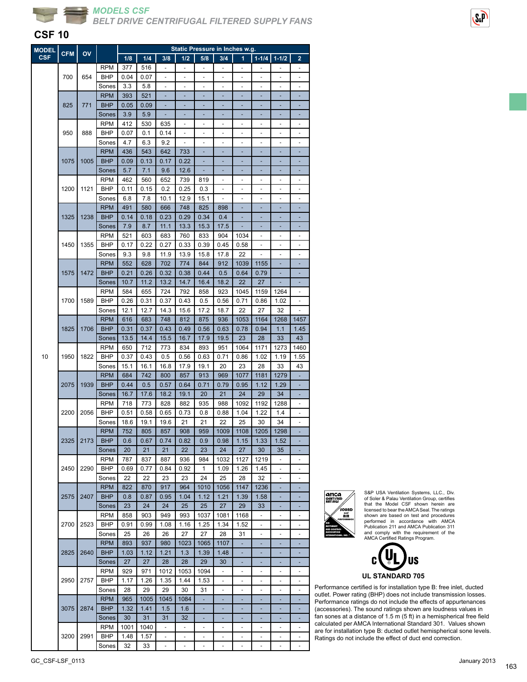



| <b>MODEL</b> |            |      |                          |              |              |                          |                          | <b>Static Pressure in Inches w.g.</b> |                          |                              |                          |                          |                          |
|--------------|------------|------|--------------------------|--------------|--------------|--------------------------|--------------------------|---------------------------------------|--------------------------|------------------------------|--------------------------|--------------------------|--------------------------|
| <b>CSF</b>   | <b>CFM</b> | OV   |                          | 1/8          | 1/4          | 3/8                      | 1/2                      | 5/8                                   | 3/4                      | 1                            | $1 - 1/4$                | $1 - 1/2$                | 2                        |
|              |            |      | <b>RPM</b>               | 377          | 516          |                          | ä,                       |                                       |                          |                              |                          |                          |                          |
|              | 700        | 654  | BHP                      | 0.04         | 0.07         |                          |                          |                                       |                          |                              |                          |                          |                          |
|              |            |      | Sones                    | 3.3          | 5.8          | ÷,                       | ÷,                       | ä,                                    | ä,                       | ä,                           | ä,                       | ÷,                       | ä,                       |
|              |            |      | <b>RPM</b>               | 393          | 521          | ä,                       | ÷,                       |                                       | ÷,                       | ä,                           | ä,                       | ä,                       |                          |
|              | 825        | 771  | <b>BHP</b>               | 0.05         | 0.09         |                          | ٠                        |                                       |                          |                              | ٠                        |                          |                          |
|              |            |      | Sones                    | 3.9          | 5.9          |                          |                          |                                       |                          |                              |                          |                          |                          |
|              |            |      | <b>RPM</b>               | 412          | 530          | 635                      |                          |                                       |                          |                              |                          |                          |                          |
|              | 950        | 888  | BHP                      | 0.07         | 0.1          | 0.14                     | ÷,                       |                                       |                          | ÷,                           |                          | ä,                       |                          |
|              |            |      | Sones                    | 4.7          | 6.3          | 9.2                      | ÷,                       | $\overline{\phantom{m}}$              | ٠                        | $\overline{\phantom{a}}$     | $\overline{\phantom{0}}$ | $\overline{a}$           | $\overline{\phantom{m}}$ |
|              |            |      | <b>RPM</b>               | 436          | 543          | 642                      | 733                      | ۰                                     | ٠                        | ٠                            | ٠                        | ٠                        | ÷                        |
|              | 1075       | 1005 | <b>BHP</b>               | 0.09         | 0.13         | 0.17                     | 0.22                     |                                       |                          |                              |                          |                          |                          |
|              |            |      | Sones                    | 5.7          | 7.1          | 9.6                      | 12.6                     |                                       |                          |                              |                          |                          |                          |
|              |            |      | <b>RPM</b>               | 462          | 560          | 652                      | 739                      | 819                                   | ä,                       | ä,                           | ä,                       | ä,                       | ä,                       |
|              | 1200       | 1121 | <b>BHP</b>               | 0.11         | 0.15         | 0.2                      | 0.25                     | 0.3                                   | ÷,                       | ٠                            | -                        | $\overline{\phantom{a}}$ | ٠                        |
|              |            |      | Sones                    | 6.8          | 7.8          | 10.1                     | 12.9                     | 15.1                                  |                          |                              |                          |                          |                          |
|              |            |      | <b>RPM</b>               | 491          | 580          | 666                      | 748                      | 825                                   | 898                      |                              |                          |                          |                          |
|              | 1325       | 1238 | <b>BHP</b>               | 0.14         | 0.18         | 0.23                     | 0.29                     | 0.34                                  | 0.4                      |                              |                          |                          |                          |
|              |            |      | Sones                    | 7.9          | 8.7          | 11.1                     | 13.3                     | 15.3                                  | 17.5                     |                              |                          |                          |                          |
|              |            |      | <b>RPM</b>               | 521          | 603          | 683                      | 760                      | 833                                   | 904                      | 1034                         | ÷,                       | ٠                        | ٠                        |
|              | 1450       | 1355 | BHP                      | 0.17         | 0.22         | 0.27                     | 0.33                     | 0.39                                  | 0.45                     | 0.58                         | ٠                        |                          |                          |
|              |            |      | Sones                    | 9.3          | 9.8          | 11.9                     | 13.9                     | 15.8                                  | 17.8                     | 22                           |                          |                          |                          |
|              |            |      | <b>RPM</b>               | 552          | 628          | 702                      | 774                      | 844                                   | 912                      | 1039                         | 1155                     |                          |                          |
|              | 1575       | 1472 | <b>BHP</b>               | 0.21         | 0.26         | 0.32                     | 0.38                     | 0.44                                  | 0.5                      | 0.64                         | 0.79                     |                          |                          |
|              |            |      | Sones                    | 10.7         | 11.2         | 13.2                     | 14.7                     | 16.4                                  | 18.2                     | 22                           | 27                       | ÷                        |                          |
|              |            |      | <b>RPM</b>               | 584          | 655          | 724                      | 792                      | 858                                   | 923                      | 1045                         | 1159                     | 1264                     | $\overline{a}$           |
|              | 1700       | 1589 | BHP                      | 0.26         | 0.31         | 0.37                     | 0.43                     | 0.5                                   | 0.56                     | 0.71                         | 0.86                     | 1.02                     | ÷                        |
|              |            |      | Sones                    | 12.1         | 12.7         | 14.3                     | 15.6                     | 17.2                                  | 18.7                     | 22                           | 27                       | 32                       |                          |
|              |            |      | <b>RPM</b>               | 616          | 683          | 748                      | 812                      | 875                                   | 936                      | 1053                         | 1164                     | 1268                     | 1457                     |
|              | 1825       | 1706 | <b>BHP</b>               | 0.31         | 0.37         | 0.43                     | 0.49                     | 0.56                                  | 0.63                     | 0.78                         | 0.94                     | 1.1                      | 1.45                     |
|              |            |      | Sones                    | 13.5         | 14.4         | 15.5                     | 16.7                     | 17.9                                  | 19.5                     | 23                           | 28                       | 33                       | 43                       |
|              |            |      | <b>RPM</b>               | 650          | 712          | 773                      | 834                      | 893                                   | 951                      | 1064                         | 1171                     | 1273                     | 1460                     |
| 10           | 1950       | 1822 | BHP                      | 0.37         | 0.43         | 0.5                      | 0.56                     | 0.63                                  | 0.71                     | 0.86                         | 1.02                     | 1.19                     | 1.55                     |
|              |            |      | Sones                    | 15.1         | 16.1         | 16.8                     | 17.9                     | 19.1                                  | 20                       | 23                           | 28                       | 33                       | 43                       |
|              |            |      | <b>RPM</b>               | 684          | 742          | 800                      |                          | 913                                   | 969                      | 1077                         | 1181                     | 1279                     |                          |
|              |            |      |                          |              |              |                          | 857                      |                                       |                          | 0.95                         |                          |                          |                          |
|              | 2075       | 1939 | <b>BHP</b>               | 0.44         | 0.5          | 0.57                     | 0.64                     | 0.71                                  | 0.79<br>21               | 24                           | 1.12<br>29               | 1.29<br>34               | ÷                        |
|              |            |      | Sones<br><b>RPM</b>      | 16.7<br>718  | 17.6         | 18.2                     | 19.1                     | 20                                    | 988                      | 1092                         | 1192                     |                          |                          |
|              | 2200       | 2056 |                          |              | 773          | 828                      | 882                      | 935                                   |                          |                              |                          | 1288                     |                          |
|              |            |      | BHP                      | 0.51<br>18.6 | 0.58<br>19.1 | 0.65<br>19.6             | 0.73<br>21               | 0.8<br>21                             | 0.88<br>22               | 1.04<br>25                   | 1.22<br>30               | 1.4<br>34                | ä,                       |
|              |            |      | Sones                    |              |              |                          |                          |                                       | 1009                     |                              |                          |                          |                          |
|              |            |      | <b>RPM</b>               | 752          | 805          | 857                      | 908                      | 959                                   |                          | 1108                         | 1205                     | 1298                     |                          |
|              | 2325       | 2173 | <b>BHP</b>               | 0.6          | 0.67         | 0.74                     | 0.82                     | 0.9                                   | 0.98                     | 1.15                         | 1.33                     | 1.52                     |                          |
|              |            |      | Sones                    | 20           | 21           | 21                       | 22                       | 23                                    | 24                       | 27<br>1127                   | 30                       | 35                       |                          |
|              | 2450       | 2290 | <b>RPM</b><br><b>BHP</b> | 787          | 837          | 887<br>0.84              | 936<br>0.92              | 984<br>1                              | 1032<br>1.09             | 1.26                         | 1219                     | ÷                        | $\overline{\phantom{a}}$ |
|              |            |      |                          | 0.69<br>22   | 0.77<br>22   | 23                       | 23                       | 24                                    | 25                       | 28                           | 1.45<br>32               | $\overline{\phantom{m}}$ | ÷,                       |
|              |            |      | Sones                    |              |              |                          | 964                      |                                       |                          |                              |                          |                          |                          |
|              |            |      | <b>RPM</b><br><b>BHP</b> | 822          | 870          | 917                      |                          | 1010                                  | 1056                     | 1147                         | 1236                     |                          |                          |
|              | 2575       | 2407 |                          | 0.8          | 0.87         | 0.95                     | 1.04                     | 1.12                                  | 1.21                     | 1.39                         | 1.58                     |                          |                          |
|              |            |      | Sones                    | 23           | 24           | 24                       | 25                       | 25                                    | 27                       | 29                           | 33                       |                          |                          |
|              |            |      | <b>RPM</b>               | 858          | 903          | 949                      | 993                      | 1037                                  | 1081                     | 1168                         | ä,                       | ÷,                       | ä,                       |
|              | 2700       | 2523 | <b>BHP</b>               | 0.91         | 0.99         | 1.08                     | 1.16                     | 1.25                                  | 1.34                     | 1.52                         | ٠                        | $\overline{\phantom{m}}$ | $\overline{\phantom{a}}$ |
|              |            |      | Sones                    | 25           | 26           | 26                       | 27                       | 27                                    | 28                       | 31                           | -                        |                          |                          |
|              |            |      | <b>RPM</b>               | 893          | 937          | 980                      | 1023                     | 1065                                  | 1107                     |                              |                          |                          |                          |
|              | 2825       | 2640 | <b>BHP</b>               | 1.03         | 1.12         | 1.21                     | 1.3                      | 1.39                                  | 1.48                     |                              |                          |                          |                          |
|              |            |      | Sones                    | 27           | 27           | 28                       | 28                       | 29                                    | 30                       |                              |                          |                          |                          |
|              |            |      | <b>RPM</b>               | 929          | 971          | 1012                     | 1053                     | 1094                                  | $\overline{\phantom{a}}$ | ۰                            | -                        | $\overline{\phantom{a}}$ | $\overline{\phantom{a}}$ |
|              | 2950       | 2757 | BHP                      | 1.17         | 1.26         | 1.35                     | 1.44                     | 1.53                                  | $\overline{\phantom{m}}$ | $\qquad \qquad \blacksquare$ | -                        | $\overline{a}$           |                          |
|              |            |      | Sones                    | 28           | 29           | 29                       | 30                       | 31                                    | ٠                        |                              |                          |                          |                          |
|              |            |      | <b>RPM</b>               | 965          | 1005         | 1045                     | 1084                     |                                       |                          |                              |                          |                          |                          |
|              | 3075       | 2874 | <b>BHP</b>               | 1.32         | 1.41         | 1.5                      | 1.6                      |                                       |                          |                              |                          |                          |                          |
|              |            |      | Sones                    | 30           | 31           | 31                       | 32                       | ٠                                     | ۰                        |                              | ٠                        | ٠                        |                          |
|              |            |      | <b>RPM</b>               | 1001         | 1040         |                          | $\overline{\phantom{0}}$ |                                       |                          |                              |                          |                          |                          |
|              | 3200       | 2991 | <b>BHP</b>               | 1.48         | 1.57         | $\overline{\phantom{a}}$ | $\overline{\phantom{0}}$ |                                       |                          |                              | ٠                        |                          |                          |
|              |            |      | Sones                    | 32           | 33           | $\overline{\phantom{a}}$ |                          |                                       |                          |                              |                          | $\blacksquare$           |                          |



S&P USA Ventilation Systems, LLC., Div. of Soler & Palau Ventilation Group, certifies that the Model CSF shown herein are licensed to bear the AMCA Seal. The ratings shown are based on test and procedures<br>Performed in accordance with AMCA<br>Publication 211 and AMCA Publication 311<br>and comply with the requirement of the<br>AMCA Certified Ratings Program.



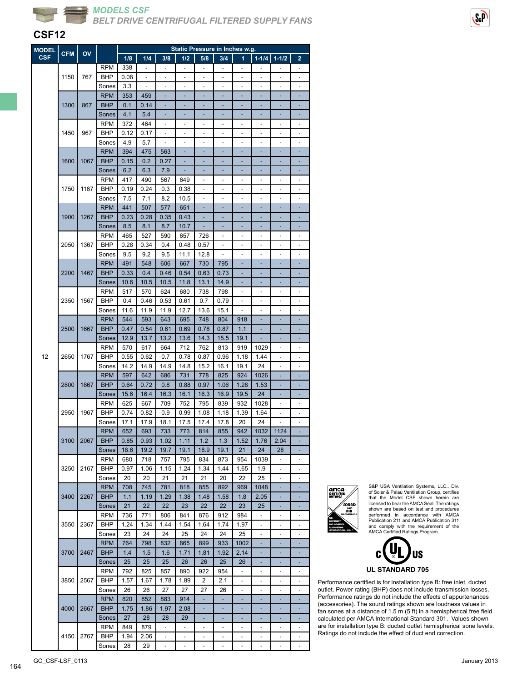

#### **CSF12**

| <b>MODEL</b> | <b>CFM</b> |            |            |      |      |                          |               | Static Pressure in Inches w.g. |                          |                          |                          |                          |                          |
|--------------|------------|------------|------------|------|------|--------------------------|---------------|--------------------------------|--------------------------|--------------------------|--------------------------|--------------------------|--------------------------|
| <b>CSF</b>   |            | OV         |            | 1/8  | 1/4  | 3/8                      | 1/2           | 5/8                            | 3/4                      | 1                        | $1 - 1/4$                | $1 - 1/2$                | 2                        |
|              |            |            | <b>RPM</b> | 338  |      |                          |               |                                |                          |                          |                          |                          |                          |
|              | 1150       | 767        | <b>BHP</b> | 0.08 |      |                          |               |                                |                          |                          |                          |                          |                          |
|              |            |            |            |      |      |                          |               |                                |                          |                          |                          |                          |                          |
|              |            |            | Sones      | 3.3  | ÷,   | ä,                       | ÷,            | ÷                              | ÷                        | ÷,                       | ÷,                       | ÷,                       |                          |
|              |            |            | <b>RPM</b> | 353  | 459  |                          | ÷,            |                                |                          |                          |                          |                          |                          |
|              | 1300       | 867        | <b>BHP</b> | 0.1  | 0.14 |                          |               |                                |                          |                          |                          |                          |                          |
|              |            |            | Sones      | 4.1  | 5.4  |                          |               |                                |                          |                          |                          |                          |                          |
|              |            |            | <b>RPM</b> | 372  | 464  |                          |               |                                |                          |                          |                          |                          |                          |
|              | 1450       | 967        | <b>BHP</b> | 0.12 | 0.17 | $\overline{\phantom{a}}$ | ÷,            | ÷,                             | L,                       | ÷,                       | ÷,                       | ÷,                       | ÷                        |
|              |            |            |            |      |      |                          |               |                                |                          |                          |                          |                          |                          |
|              |            |            | Sones      | 4.9  | 5.7  | $\blacksquare$           | $\frac{1}{2}$ | ÷,                             | ÷,                       | ÷,                       | ÷,                       | ÷,                       | $\overline{\phantom{a}}$ |
|              |            |            | <b>RPM</b> | 394  | 475  | 563                      |               |                                |                          |                          |                          |                          |                          |
|              | 1600       | 1067       | <b>BHP</b> | 0.15 | 0.2  | 0.27                     |               |                                |                          |                          |                          |                          |                          |
|              |            |            | Sones      | 6.2  | 6.3  | 7.9                      |               |                                |                          |                          |                          |                          |                          |
|              |            |            | <b>RPM</b> | 417  | 490  | 567                      | 649           | ÷,                             | ÷,                       | ÷,                       | ÷,                       | ÷,                       | $\overline{\phantom{a}}$ |
|              | 1750       | 1167       | <b>BHP</b> | 0.19 | 0.24 | 0.3                      | 0.38          | ÷,                             | ÷,                       | $\overline{\phantom{m}}$ | ÷,                       | $\overline{\phantom{m}}$ | $\overline{\phantom{a}}$ |
|              |            |            | Sones      | 7.5  | 7.1  | 8.2                      | 10.5          |                                |                          |                          |                          |                          |                          |
|              |            |            |            |      |      |                          |               |                                |                          |                          |                          |                          |                          |
|              |            |            | <b>RPM</b> | 441  | 507  | 577                      | 651           |                                |                          |                          |                          |                          |                          |
|              | 1900       | 1267       | <b>BHP</b> | 0.23 | 0.28 | 0.35                     | 0.43          |                                |                          |                          |                          |                          |                          |
|              |            |            | Sones      | 8.5  | 8.1  | 8.7                      | 10.7          | L,                             |                          |                          |                          |                          |                          |
|              |            |            | <b>RPM</b> | 465  | 527  | 590                      | 657           | 726                            | $\overline{\phantom{a}}$ | ٠                        | -                        | $\overline{\phantom{a}}$ | $\overline{\phantom{a}}$ |
|              | 2050       | 1367       | <b>BHP</b> | 0.28 | 0.34 | 0.4                      | 0.48          | 0.57                           |                          |                          |                          |                          |                          |
|              |            |            | Sones      | 9.5  | 9.2  | 9.5                      | 11.1          | 12.8                           |                          |                          |                          |                          |                          |
|              |            |            | <b>RPM</b> | 491  | 548  | 606                      | 667           | 730                            | 795                      |                          |                          |                          |                          |
|              |            |            |            |      |      |                          |               |                                |                          |                          |                          |                          |                          |
|              | 2200       | 1467       | <b>BHP</b> | 0.33 | 0.4  | 0.46                     | 0.54          | 0.63                           | 0.73                     |                          |                          |                          |                          |
|              |            |            | Sones      | 10.6 | 10.5 | 10.5                     | 11.8          | 13.1                           | 14.9                     | ٠                        | ٠                        | ٠                        |                          |
|              |            |            | <b>RPM</b> | 517  | 570  | 624                      | 680           | 738                            | 798                      | $\overline{a}$           | -                        | ٠                        |                          |
|              | 2350       | 1567       | <b>BHP</b> | 0.4  | 0.46 | 0.53                     | 0.61          | 0.7                            | 0.79                     |                          |                          |                          |                          |
| 2500         |            | Sones      | 11.6       | 11.9 | 11.9 | 12.7                     | 13.6          | 15.1                           |                          |                          |                          |                          |                          |
|              |            | <b>RPM</b> | 544        | 593  | 643  | 695                      | 748           | 804                            | 918                      |                          |                          |                          |                          |
|              |            |            |            |      |      |                          |               |                                |                          |                          |                          |                          |                          |
|              |            | 1667       | <b>BHP</b> | 0.47 | 0.54 | 0.61                     | 0.69          | 0.78                           | 0.87                     | 1.1                      | ٠                        | ٠                        |                          |
|              |            |            | Sones      | 12.9 | 13.7 | 13.2                     | 13.6          | 14.3                           | 15.5                     | 19.1                     |                          |                          |                          |
|              |            |            | <b>RPM</b> | 570  | 617  | 664                      | 712           | 762                            | 813                      | 919                      | 1029                     |                          |                          |
| 12           | 2650       | 1767       | <b>BHP</b> | 0.55 | 0.62 | 0.7                      | 0.78          | 0.87                           | 0.96                     | 1.18                     | 1.44                     |                          |                          |
|              |            |            | Sones      | 14.2 | 14.9 | 14.9                     | 14.8          | 15.2                           | 16.1                     | 19.1                     | 24                       |                          |                          |
|              |            |            | <b>RPM</b> | 597  | 642  | 686                      | 731           | 778                            | 825                      | 924                      | 1026                     | ÷                        | ۰                        |
|              | 2800       | 1867       | <b>BHP</b> | 0.64 | 0.72 | 0.8                      | 0.88          | 0.97                           | 1.06                     | 1.28                     | 1.53                     |                          |                          |
|              |            |            |            |      |      |                          |               |                                |                          |                          |                          |                          |                          |
|              |            |            | Sones      | 15.6 | 16.4 | 16.3                     | 16.1          | 16.3                           | 16.9                     | 19.5                     | 24                       |                          |                          |
|              |            |            | <b>RPM</b> | 625  | 667  | 709                      | 752           | 795                            | 839                      | 932                      | 1028                     |                          |                          |
|              | 2950       | 1967       | <b>BHP</b> | 0.74 | 0.82 | 0.9                      | 0.99          | 1.08                           | 1.18                     | 1.39                     | 1.64                     |                          |                          |
|              |            |            | Sones      | 17.1 | 17.9 | 18.1                     | 17.5          | 17.4                           | 17.8                     | 20                       | 24                       | ä,                       | ÷                        |
|              |            |            | <b>RPM</b> | 652  | 693  | 733                      | 773           | 814                            | 855                      | 942                      | 1032 1124                |                          |                          |
|              | 3100       | 2067       | <b>BHP</b> | 0.85 | 0.93 | 1.02                     | 1.11          | 1.2                            | 1.3                      | 1.52                     | 1.76                     | 2.04                     |                          |
|              |            |            | Sones      | 18.6 | 19.2 | 19.7                     | 19.1          | 18.9                           | 19.1                     | 21                       | 24                       | 28                       |                          |
|              |            |            | <b>RPM</b> | 680  |      |                          | 795           |                                |                          | 954                      |                          |                          |                          |
|              |            |            |            |      | 718  | 757                      |               | 834                            | 873                      |                          | 1039                     |                          |                          |
|              | 3250       | 2167       | BHP        | 0.97 | 1.06 | 1.15                     | 1.24          | 1.34                           | 1.44                     | 1.65                     | 1.9                      | -                        | $\overline{\phantom{m}}$ |
|              |            |            | Sones      | 20   | 20   | 21                       | 21            | 21                             | 20                       | 22                       | 25                       | $\overline{\phantom{0}}$ |                          |
|              |            |            | <b>RPM</b> | 708  | 745  | 781                      | 818           | 855                            | 892                      | 969                      | 1048                     |                          |                          |
|              | 3400       | 2267       | <b>BHP</b> | 1.1  | 1.19 | 1.29                     | 1.38          | 1.48                           | 1.58                     | 1.8                      | 2.05                     |                          |                          |
|              |            |            | Sones      | 21   | 22   | 22                       | 23            | 22                             | 22                       | 23                       | 25                       | ٠                        |                          |
|              |            |            | <b>RPM</b> | 736  | 771  | 806                      | 841           | 876                            | 912                      | 984                      | $\blacksquare$           | ÷,                       | $\overline{\phantom{a}}$ |
|              |            |            | BHP        | 1.24 |      | 1.44                     |               | 1.64                           | 1.74                     |                          |                          | $\overline{\phantom{a}}$ | $\overline{\phantom{a}}$ |
|              | 3550       | 2367       |            |      | 1.34 |                          | 1.54          |                                |                          | 1.97                     | $\overline{\phantom{a}}$ |                          |                          |
|              |            |            | Sones      | 23   | 24   | 24                       | 25            | 24                             | 24                       | 25                       |                          |                          |                          |
|              |            |            | <b>RPM</b> | 764  | 798  | 832                      | 865           | 899                            | 933                      | 1002                     |                          |                          |                          |
|              | 3700       | 2467       | <b>BHP</b> | 1.4  | 1.5  | 1.6                      | 1.71          | 1.81                           | 1.92                     | 2.14                     |                          |                          |                          |
|              |            |            | Sones      | 25   | 25   | 25                       | 26            | 26                             | 25                       | 26                       |                          |                          |                          |
|              |            |            | <b>RPM</b> | 792  | 825  | 857                      | 890           | 922                            | 954                      | $\overline{\phantom{a}}$ | $\overline{\phantom{a}}$ | $\overline{\phantom{a}}$ | $\overline{\phantom{a}}$ |
|              | 3850       | 2567       | BHP        | 1.57 | 1.67 | 1.78                     | 1.89          | 2                              | 2.1                      | $\overline{\phantom{m}}$ | -                        | ٠                        | ٠                        |
|              |            |            |            |      |      |                          |               |                                |                          |                          |                          |                          |                          |
|              |            |            | Sones      | 26   | 26   | 27                       | 27            | 27                             | 26                       |                          |                          |                          |                          |
|              |            |            | <b>RPM</b> | 820  | 852  | 883                      | 914           |                                |                          |                          |                          |                          |                          |
|              | 4000       | 2667       | <b>BHP</b> | 1.75 | 1.86 | 1.97                     | 2.08          |                                |                          |                          |                          |                          |                          |
|              |            |            | Sones      | 27   | 28   | 28                       | 29            | ÷                              | ٠                        | ٠                        | ٠                        | ÷,                       |                          |
|              |            |            | <b>RPM</b> | 849  | 879  | $\overline{\phantom{a}}$ | ۰             | ٠                              | -                        | $\bar{\phantom{a}}$      | -                        | ٠                        |                          |
|              | 4150       | 2767       | BHP        | 1.94 | 2.06 |                          |               |                                |                          |                          |                          |                          |                          |
|              |            |            | Sones      | 28   | 29   |                          |               |                                |                          |                          |                          |                          |                          |
|              |            |            |            |      |      |                          |               |                                |                          |                          |                          |                          |                          |



S&P USA Ventilation Systems, LLC., Div. of Soler & Palau Ventilation Group, certifies that the Model CSF shown herein are licensed to bear the AMCA Seal. The ratings shown are based on test and procedures performed in accordance with AMCA Publication 211 and AMCA Publication 311 and comply with the requirement of the AMCA Certified Ratings Program.



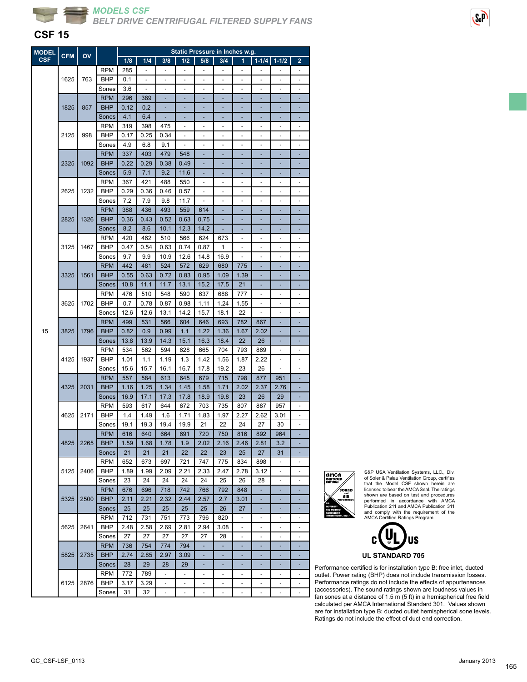

### **CSF 15**

| Static Pressure in Inches w.g.<br><b>MODEL</b><br><b>CFM</b><br>OV |      |      |                     |      |                |                          |                          |                          |                          |                |                          |                          |                                 |
|--------------------------------------------------------------------|------|------|---------------------|------|----------------|--------------------------|--------------------------|--------------------------|--------------------------|----------------|--------------------------|--------------------------|---------------------------------|
| <b>CSF</b>                                                         |      |      |                     | 1/8  | 1/4            | 3/8                      | 1/2                      | 5/8                      | 3/4                      | 1              | $1 - 1/4$                | $1 - 1/2$                | $\overline{\mathbf{2}}$         |
|                                                                    |      |      | <b>RPM</b>          | 285  | $\blacksquare$ | $\blacksquare$           | ÷,                       | $\blacksquare$           | $\overline{\phantom{a}}$ | $\blacksquare$ | $\overline{\phantom{a}}$ | $\overline{\phantom{0}}$ | $\overline{\phantom{m}}$        |
|                                                                    | 1625 | 763  | <b>BHP</b>          | 0.1  |                | ä,                       |                          |                          |                          |                |                          |                          |                                 |
|                                                                    |      |      | Sones               | 3.6  |                |                          |                          |                          |                          |                |                          |                          |                                 |
|                                                                    |      |      | <b>RPM</b>          | 296  | 389            |                          |                          |                          |                          |                |                          |                          |                                 |
|                                                                    | 1825 | 857  | <b>BHP</b>          | 0.12 | 0.2            | ä,                       |                          |                          |                          |                |                          |                          |                                 |
|                                                                    |      |      | Sones               | 4.1  | 6.4            | ٠                        | ٠                        | ٠                        | ٠                        | ٠              | ٠                        | ٠                        | ۰                               |
|                                                                    |      |      | <b>RPM</b>          | 319  | 398            | 475                      |                          | ٠                        | ٠                        | $\overline{a}$ | ٠                        | ٠                        |                                 |
|                                                                    | 2125 | 998  | <b>BHP</b>          | 0.17 | 0.25           | 0.34                     |                          | ä,                       |                          | ٠              | ٠                        |                          | ٠                               |
|                                                                    |      |      | Sones               | 4.9  | 6.8            | 9.1                      |                          |                          |                          |                |                          |                          |                                 |
|                                                                    |      |      | <b>RPM</b>          | 337  | 403            | 479                      | 548                      |                          |                          |                |                          |                          |                                 |
|                                                                    | 2325 | 1092 | <b>BHP</b>          | 0.22 | 0.29           | 0.38                     | 0.49                     | ÷,                       | ٠                        | ٠              | ٠                        | ۰                        |                                 |
|                                                                    |      |      | Sones               | 5.9  | 7.1            | 9.2                      | 11.6                     | ٠                        | ٠                        | ٠              | ۰                        | ۳                        |                                 |
|                                                                    |      |      | <b>RPM</b>          | 367  | 421            | 488                      | 550                      |                          |                          |                |                          |                          |                                 |
|                                                                    | 2625 | 1232 | <b>BHP</b>          | 0.29 | 0.36           | 0.46                     | 0.57                     |                          |                          |                |                          |                          |                                 |
|                                                                    |      |      |                     | 7.2  | 7.9            | 9.8                      | 11.7                     |                          |                          |                |                          |                          |                                 |
|                                                                    |      |      | Sones<br><b>RPM</b> | 388  | 436            | 493                      | 559                      | 614                      | ٠                        | ٠              | ٠                        | ٠                        |                                 |
|                                                                    | 2825 | 1326 | <b>BHP</b>          | 0.36 |                | 0.52                     |                          |                          |                          |                |                          |                          |                                 |
|                                                                    |      |      |                     |      | 0.43           |                          | 0.63                     | 0.75                     |                          |                | ٠                        | ۰                        |                                 |
|                                                                    |      |      | Sones               | 8.2  | 8.6            | 10.1                     | 12.3                     | 14.2                     |                          |                |                          |                          |                                 |
|                                                                    |      |      | <b>RPM</b>          | 420  | 462            | 510                      | 566                      | 624                      | 673                      |                |                          |                          |                                 |
|                                                                    | 3125 | 1467 | <b>BHP</b>          | 0.47 | 0.54           | 0.63                     | 0.74                     | 0.87                     | 1                        |                |                          |                          |                                 |
|                                                                    |      |      | Sones               | 9.7  | 9.9            | 10.9                     | 12.6                     | 14.8                     | 16.9                     | ÷,             | ÷,                       | ÷,                       | ÷,                              |
|                                                                    |      |      | <b>RPM</b>          | 442  | 481            | 524                      | 572                      | 629                      | 680                      | 775            | ٠                        | ÷                        |                                 |
|                                                                    | 3325 | 1561 | <b>BHP</b>          | 0.55 | 0.63           | 0.72                     | 0.83                     | 0.95                     | 1.09                     | 1.39           |                          |                          |                                 |
|                                                                    |      |      | Sones               | 10.8 | 11.1           | 11.7                     | 13.1                     | 15.2                     | 17.5                     | 21             |                          |                          |                                 |
|                                                                    |      |      | <b>RPM</b>          | 476  | 510            | 548                      | 590                      | 637                      | 688                      | 777            |                          |                          |                                 |
|                                                                    | 3625 | 1702 | <b>BHP</b>          | 0.7  | 0.78           | 0.87                     | 0.98                     | 1.11                     | 1.24                     | 1.55           | ÷,                       | ÷,                       | ٠                               |
|                                                                    |      |      | Sones               | 12.6 | 12.6           | 13.1                     | 14.2                     | 15.7                     | 18.1                     | 22             | -                        | ÷                        | $\overline{a}$                  |
|                                                                    |      |      | <b>RPM</b>          | 499  | 531            | 566                      | 604                      | 646                      | 693                      | 782            | 867                      |                          |                                 |
| 15                                                                 | 3825 | 1796 | <b>BHP</b>          | 0.82 | 0.9            | 0.99                     | 1.1                      | 1.22                     | 1.36                     | 1.67           | 2.02                     |                          |                                 |
|                                                                    |      |      | Sones               | 13.8 | 13.9           | 14.3                     | 15.1                     | 16.3                     | 18.4                     | 22             | 26                       |                          |                                 |
|                                                                    |      |      | <b>RPM</b>          | 534  | 562            | 594                      | 628                      | 665                      | 704                      | 793            | 869                      | ÷,                       | ÷                               |
|                                                                    | 4125 | 1937 | <b>BHP</b>          | 1.01 | 1.1            | 1.19                     | 1.3                      | 1.42                     | 1.56                     | 1.87           | 2.22                     | $\overline{\phantom{0}}$ | $\overline{\phantom{m}}$        |
|                                                                    |      |      | Sones               | 15.6 | 15.7           | 16.1                     | 16.7                     | 17.8                     | 19.2                     | 23             | 26                       |                          |                                 |
|                                                                    |      |      | <b>RPM</b>          | 557  | 584            | 613                      | 645                      | 679                      | 715                      | 798            | 877                      | 951                      |                                 |
|                                                                    | 4325 | 2031 | <b>BHP</b>          | 1.16 | 1.25           | 1.34                     | 1.45                     | 1.58                     | 1.71                     | 2.02           | 2.37                     | 2.76                     |                                 |
|                                                                    |      |      | Sones               | 16.9 | 17.1           | 17.3                     | 17.8                     | 18.9                     | 19.8                     | 23             | 26                       | 29                       |                                 |
|                                                                    |      |      | <b>RPM</b>          | 593  | 617            | 644                      | 672                      | 703                      | 735                      | 807            | 887                      | 957                      | $\centering \label{eq:reduced}$ |
|                                                                    | 4625 | 2171 | BHP                 | 1.4  | 1.49           | 1.6                      | 1.71                     | 1.83                     | 1.97                     | 2.27           | 2.62                     | 3.01                     |                                 |
|                                                                    |      |      | Sones               | 19.1 | 19.3           | 19.4                     | 19.9                     | 21                       | 22                       | 24             | 27                       | 30                       |                                 |
|                                                                    |      |      | <b>RPM</b>          | 616  | 640            | 664                      | 691                      | 720                      | 750                      | 816            | 892                      | 964                      |                                 |
|                                                                    | 4825 | 2265 | <b>BHP</b>          | 1.59 | 1.68           | 1.78                     | 1.9                      | 2.02                     | 2.16                     | 2.46           | 2.81                     | 3.2                      |                                 |
|                                                                    |      |      | Sones               | 21   | 21             | 21                       | 22                       | 22                       | 23                       | 25             | 27                       | 31                       |                                 |
|                                                                    |      |      | RPM                 | 652  | 673            | 697                      | 721                      | 747                      | 775                      | 834            | 898                      | $\blacksquare$           | $\overline{a}$                  |
|                                                                    | 5125 | 2406 | BHP                 | 1.89 | 1.99           | 2.09                     | 2.21                     | 2.33                     | 2.47                     | 2.78           | 3.12                     |                          |                                 |
|                                                                    |      |      | Sones               | 23   | 24             | 24                       | 24                       | 24                       | 25                       | 26             | 28                       | ٠                        |                                 |
|                                                                    |      |      | <b>RPM</b>          | 676  | 696            | 718                      | 742                      | 766                      | 792                      | 848            |                          |                          |                                 |
|                                                                    |      |      |                     |      |                |                          |                          |                          |                          |                |                          |                          |                                 |
|                                                                    | 5325 | 2500 | <b>BHP</b>          | 2.11 | 2.21           | 2.32                     | 2.44                     | 2.57                     | 2.7                      | 3.01           | ٠                        | ٠                        |                                 |
|                                                                    |      |      | Sones               | 25   | 25             | 25                       | 25                       | 25                       | 26                       | 27             | ۰                        | ٠                        |                                 |
|                                                                    |      |      | <b>RPM</b>          | 712  | 731            | 751                      | 773                      | 796                      | 820                      | ٠              | ٠                        | -                        |                                 |
|                                                                    | 5625 | 2641 | BHP                 | 2.48 | 2.58           | 2.69                     | 2.81                     | 2.94                     | 3.08                     |                |                          |                          |                                 |
|                                                                    |      |      | Sones               | 27   | 27             | 27                       | 27                       | 27                       | 28                       | ÷,             |                          | ä,                       |                                 |
|                                                                    |      |      | <b>RPM</b>          | 736  | 754            | 774                      | 794                      | ÷,                       | ÷,                       | ÷              | ä,                       | ÷                        |                                 |
|                                                                    | 5825 | 2735 | <b>BHP</b>          | 2.74 | 2.85           | 2.97                     | 3.09                     | ٠                        | ٠                        | ۰              | ÷                        | ۰                        |                                 |
|                                                                    |      |      | Sones               | 28   | 29             | 28                       | 29                       |                          |                          |                |                          |                          |                                 |
|                                                                    |      |      | <b>RPM</b>          | 772  | 789            |                          | $\overline{\phantom{a}}$ | $\overline{\phantom{a}}$ |                          |                |                          |                          |                                 |
|                                                                    | 6125 | 2876 | BHP                 | 3.17 | 3.29           | ä,                       | $\overline{\phantom{a}}$ | ÷                        |                          |                | ÷,                       | ÷,                       |                                 |
|                                                                    |      |      | Sones               | 31   | 32             | $\overline{\phantom{a}}$ | $\overline{\phantom{a}}$ | $\overline{\phantom{a}}$ | $\overline{\phantom{a}}$ | ۰              | $\frac{1}{2}$            | -                        | $\overline{\phantom{a}}$        |



S&P USA Ventilation Systems, LLC., Div. of Soler & Palau Ventilation Group, certifies that the Model CSF shown herein are licensed to bear the AMCA Seal. The ratings shown are based on test and procedures performed in accordance with AMCA Publication 211 and AMCA Publication 311 and comply with the requirement of the AMCA Certified Ratings Program.



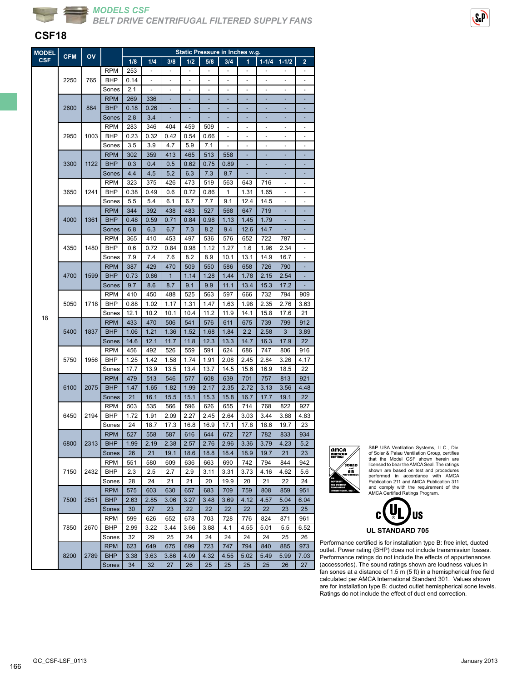

#### **CSF18**

| <b>MODEL</b> | <b>CFM</b> | OV   | Static Pressure in Inches w.g. |            |                |                          |                          |                          |                |                          |                          |              |                         |
|--------------|------------|------|--------------------------------|------------|----------------|--------------------------|--------------------------|--------------------------|----------------|--------------------------|--------------------------|--------------|-------------------------|
| <b>CSF</b>   |            |      |                                | 1/8        | 1/4            | 3/8                      | 1/2                      | 5/8                      | 3/4            | 1                        | $1 - 1/4$                | $1 - 1/2$    | $\overline{\mathbf{2}}$ |
|              |            |      | <b>RPM</b>                     | 253        | $\blacksquare$ | $\overline{\phantom{a}}$ | $\overline{\phantom{a}}$ | $\overline{\phantom{a}}$ | $\blacksquare$ | $\overline{\phantom{a}}$ | $\overline{\phantom{a}}$ | ÷,           | $\blacksquare$          |
|              | 2250       | 765  | BHP                            | 0.14       |                | ä,                       |                          |                          |                |                          |                          |              |                         |
|              |            |      | Sones                          | 2.1        |                |                          |                          |                          |                |                          |                          |              |                         |
|              |            |      | <b>RPM</b>                     | 269        | 336            |                          |                          |                          |                |                          |                          |              |                         |
|              | 2600       | 884  | <b>BHP</b>                     | 0.18       | 0.26           | L,                       |                          |                          |                |                          |                          |              |                         |
|              |            |      | Sones                          | 2.8        | 3.4            | ۰                        |                          | ٠                        | ٠              | ٠                        | ٠                        | ٠            | ٠                       |
|              |            |      | <b>RPM</b>                     | 283        | 346            | 404                      | 459                      | 509                      |                | ٠                        |                          |              |                         |
|              | 2950       | 1003 | <b>BHP</b>                     | 0.23       | 0.32           | 0.42                     | 0.54                     | 0.66                     |                |                          |                          |              |                         |
|              |            |      | Sones                          | 3.5        | 3.9            | 4.7                      | 5.9                      | 7.1                      |                |                          |                          |              |                         |
|              |            |      | <b>RPM</b>                     | 302        | 359            | 413                      | 465                      | 513                      | 558            |                          |                          |              |                         |
|              | 3300       | 1122 | <b>BHP</b>                     | 0.3        | 0.4            | 0.5                      | 0.62                     | 0.75                     | 0.89           | ÷,                       | ۰                        | ٠            |                         |
|              |            |      | Sones                          | 4.4        | 4.5            | 5.2                      | 6.3                      | 7.3                      | 8.7            | ۳                        | ٠                        | ٠            |                         |
|              |            |      | <b>RPM</b>                     | 323        | 375            | 426                      | 473                      | 519                      | 563            | 643                      | 716                      |              | ۰                       |
|              | 3650       | 1241 | BHP                            | 0.38       | 0.49           | 0.6                      | 0.72                     | 0.86                     | 1              | 1.31                     | 1.65                     |              |                         |
|              |            |      | Sones                          | 5.5        | 5.4            | 6.1                      | 6.7                      | 7.7                      | 9.1            | 12.4                     | 14.5                     |              |                         |
|              |            |      | <b>RPM</b>                     | 344        | 392            | 438                      | 483                      | 527                      | 568            | 647                      | 719                      | ÷            |                         |
|              | 4000       | 1361 | <b>BHP</b>                     | 0.48       | 0.59           | 0.71                     | 0.84                     | 0.98                     | 1.13           | 1.45                     | 1.79                     |              |                         |
|              |            |      | Sones                          | 6.8        | 6.3            | 6.7                      | 7.3                      | 8.2                      | 9.4            | 12.6                     | 14.7                     |              |                         |
|              |            |      | <b>RPM</b>                     | 365        | 410            | 453                      | 497                      | 536                      | 576            | 652                      | 722                      | 787          |                         |
|              | 4350       | 1480 | <b>BHP</b>                     | 0.6        | 0.72           | 0.84                     | 0.98                     | 1.12                     | 1.27           | 1.6                      | 1.96                     | 2.34         |                         |
|              |            |      | Sones                          | 7.9        | 7.4            | 7.6                      | 8.2                      | 8.9                      | 10.1           | 13.1                     | 14.9                     | 16.7         | ÷                       |
|              |            |      | <b>RPM</b>                     | 387        | 429            | 470                      | 509                      | 550                      | 586            | 658                      | 726                      | 790          |                         |
|              | 4700       | 1599 | <b>BHP</b>                     | 0.73       | 0.86           | $\mathbf{1}$             | 1.14                     | 1.28                     | 1.44           | 1.78                     | 2.15                     | 2.54         |                         |
|              |            |      | Sones                          | 9.7        | 8.6            | 8.7                      | 9.1                      | 9.9                      | 11.1           | 13.4                     | 15.3                     | 17.2         |                         |
|              |            |      | <b>RPM</b>                     | 410        | 450            | 488                      | 525                      | 563                      | 597            | 666                      | 732                      | 794          | 909                     |
|              | 5050       | 1718 | <b>BHP</b>                     | 0.88       | 1.02           | 1.17                     | 1.31                     | 1.47                     | 1.63           | 1.98                     | 2.35                     | 2.76         | 3.63                    |
|              |            |      | Sones                          | 12.1       | 10.2           | 10.1                     | 10.4                     | 11.2                     | 11.9           | 14.1                     | 15.8                     | 17.6         | 21                      |
| 18           |            |      | <b>RPM</b>                     | 433        | 470            | 506                      | 541                      | 576                      | 611            | 675                      | 739                      | 799          | 912                     |
|              | 5400       | 1837 | <b>BHP</b>                     | 1.06       | 1.21           | 1.36                     | 1.52                     | 1.68                     | 1.84           | 2.2                      | 2.58                     | 3            | 3.89                    |
|              |            |      | Sones                          | 14.6       | 12.1           | 11.7                     | 11.8                     | 12.3                     | 13.3           | 14.7                     | 16.3                     | 17.9         | 22                      |
|              |            |      | <b>RPM</b>                     | 456        | 492            | 526                      | 559                      | 591                      | 624            | 686                      | 747                      | 806          | 916                     |
|              | 5750       | 1956 | <b>BHP</b>                     | 1.25       | 1.42           | 1.58                     | 1.74                     | 1.91                     | 2.08           | 2.45                     | 2.84                     | 3.26         | 4.17                    |
|              |            |      |                                | 17.7       | 13.9           |                          | 13.4                     | 13.7                     | 14.5           |                          |                          |              | 22                      |
|              |            |      | Sones<br><b>RPM</b>            | 479        | 513            | 13.5                     |                          | 608                      | 639            | 15.6<br>701              | 16.9                     | 18.5         | 921                     |
|              | 6100       |      |                                |            |                | 546                      | 577                      |                          |                |                          | 757                      | 813          |                         |
|              |            | 2075 | <b>BHP</b>                     | 1.47       | 1.65           | 1.82                     | 1.99                     | 2.17                     | 2.35           | 2.72                     | 3.13                     | 3.56         | 4.48                    |
|              |            |      | Sones                          | 21         | 16.1           | 15.5                     | 15.1                     | 15.3                     | 15.8           | 16.7                     | 17.7                     | 19.1         | 22                      |
|              |            |      | <b>RPM</b>                     | 503        | 535            | 566                      | 596                      | 626                      | 655            | 714                      | 768                      | 822          | 927                     |
|              | 6450       | 2194 | BHP                            | 1.72<br>24 | 1.91<br>18.7   | 2.09<br>17.3             | 2.27<br>16.8             | 2.45<br>16.9             | 2.64<br>17.1   | 3.03<br>17.8             | 3.44                     | 3.88<br>19.7 | 4.83<br>23              |
|              |            |      | Sones                          |            |                |                          |                          |                          |                |                          | 18.6                     |              |                         |
|              |            |      | <b>RPM</b>                     | 527        | 558            | 587                      | 616                      | 644                      | 672            | 727                      | 782                      | 833          | 934                     |
|              | 6800       | 2313 | <b>BHP</b>                     | 1.99       | 2.19           | 2.38                     | 2.57                     | 2.76                     | 2.96           | 3.36                     | 3.79                     | 4.23         | 5.2                     |
|              |            |      | Sones                          | 26         | 21             | 19.1                     | 18.6                     | 18.8                     | 18.4           | 18.9                     | 19.7                     | 21           | 23                      |
|              |            |      | <b>RPM</b>                     | 551        | 580            | 609                      | 636                      | 663                      | 690            | 742                      | 794                      | 844          | 942                     |
|              | 7150       | 2432 | BHP                            | 2.3        | 2.5            | 2.7                      | 2.9                      | 3.11                     | 3.31           | 3.73                     | 4.16                     | 4.62         | 5.6                     |
|              |            |      | Sones                          | 28         | 24             | 21                       | 21                       | 20                       | 19.9           | 20                       | 21                       | 22           | 24                      |
|              |            |      | <b>RPM</b>                     | 575        | 603            | 630                      | 657                      | 683                      | 709            | 759                      | 808                      | 859          | 951                     |
|              | 7500       | 2551 | <b>BHP</b>                     | 2.63       | 2.85           | 3.06                     | 3.27                     | 3.48                     | 3.69           | 4.12                     | 4.57                     | 5.04         | 6.04                    |
|              |            |      | Sones                          | 30         | 27             | 23                       | 22                       | 22                       | 22             | 22                       | 22                       | 23           | 25                      |
|              |            |      | <b>RPM</b>                     | 599        | 626            | 652                      | 678                      | 703                      | 728            | 776                      | 824                      | 871          | 961                     |
|              | 7850       | 2670 | <b>BHP</b>                     | 2.99       | 3.22           | 3.44                     | 3.66                     | 3.88                     | 4.1            | 4.55                     | 5.01                     | 5.5          | 6.52                    |
|              |            |      | Sones                          | 32         | 29             | 25                       | 24                       | 24                       | 24             | 24                       | 24                       | 25           | 26                      |
|              |            |      | <b>RPM</b>                     | 623        | 649            | 675                      | 699                      | 723                      | 747            | 794                      | 840                      | 885          | 973                     |
|              | 8200       | 2789 | <b>BHP</b>                     | 3.38       | 3.63           | 3.86                     | 4.09                     | 4.32                     | 4.55           | 5.02                     | 5.49                     | 5.99         | 7.03                    |
|              |            |      | Sones                          | 34         | 32             | 27                       | 26                       | 25                       | 25             | 25                       | 25                       | 26           | 27                      |



S&P USA Ventilation Systems, LLC., Div. of Soler & Palau Ventilation Group, certifies that the Model CSF shown herein are licensed to bear the AMCA Seal. The ratings shown are based on test and procedures performed in accordance with AMCA Publication 211 and AMCA Publication 311 and comply with the requirement of the AMCA Certified Ratings Program.



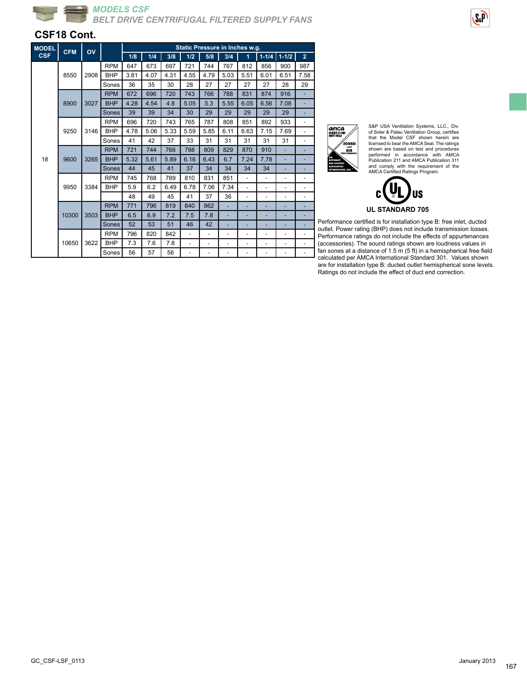

#### **CSF18 Cont.**

ă

| <b>MODEL</b> | <b>CFM</b> | Static Pressure in Inches w.g.<br>OV |            |      |      |      |                          |                          |      |                          |                          |                          |                |
|--------------|------------|--------------------------------------|------------|------|------|------|--------------------------|--------------------------|------|--------------------------|--------------------------|--------------------------|----------------|
| <b>CSF</b>   |            |                                      |            | 1/8  | 1/4  | 3/8  | 1/2                      | 5/8                      | 3/4  | $\overline{1}$           |                          | $1-1/4$ 1-1/2            | $\overline{2}$ |
|              |            |                                      | <b>RPM</b> | 647  | 673  | 697  | 721                      | 744                      | 767  | 812                      | 856                      | 900                      | 987            |
|              | 8550       | 2908                                 | <b>BHP</b> | 3.81 | 4.07 | 4.31 | 4.55                     | 4.79                     | 5.03 | 5.51                     | 6.01                     | 6.51                     | 7.58           |
|              |            |                                      | Sones      | 36   | 35   | 30   | 28                       | 27                       | 27   | 27                       | 27                       | 28                       | 29             |
|              |            |                                      | <b>RPM</b> | 672  | 696  | 720  | 743                      | 766                      | 788  | 831                      | 874                      | 916                      |                |
|              | 8900       | 3027                                 | <b>BHP</b> | 4.28 | 4.54 | 4.8  | 5.05                     | 5.3                      | 5.55 | 6.05                     | 6.56                     | 7.08                     |                |
|              |            |                                      | Sones      | 39   | 39   | 34   | 30                       | 29                       | 29   | 29                       | 29                       | 29                       |                |
|              |            |                                      | <b>RPM</b> | 696  | 720  | 743  | 765                      | 787                      | 808  | 851                      | 892                      | 933                      |                |
|              | 9250       | 3146                                 | <b>BHP</b> | 4.78 | 5.06 | 5.33 | 5.59                     | 5.85                     | 6.11 | 6.63                     | 7.15                     | 7.69                     |                |
|              |            |                                      | Sones      | 41   | 42   | 37   | 33                       | 31                       | 31   | 31                       | 31                       | 31                       |                |
|              |            |                                      | <b>RPM</b> | 721  | 744  | 766  | 788                      | 809                      | 829  | 870                      | 910                      |                          |                |
| 18           | 9600       | 3265                                 | <b>BHP</b> | 5.32 | 5.61 | 5.89 | 6.16                     | 6.43                     | 6.7  | 7.24                     | 7.78                     |                          |                |
|              |            |                                      | Sones      | 44   | 45   | 41   | 37                       | 34                       | 34   | 34                       | 34                       |                          |                |
|              |            |                                      | <b>RPM</b> | 745  | 768  | 789  | 810                      | 831                      | 851  | ÷,                       | ٠                        | ٠                        |                |
|              | 9950       | 3384                                 | <b>BHP</b> | 5.9  | 6.2  | 6.49 | 6.78                     | 7.06                     | 7.34 | ÷,                       | ÷,                       | $\overline{\phantom{a}}$ |                |
|              |            |                                      |            | 48   | 49   | 45   | 41                       | 37                       | 36   | ٠                        | ٠                        | ٠                        |                |
|              |            |                                      | <b>RPM</b> | 771  | 796  | 819  | 840                      | 862                      |      |                          |                          |                          |                |
|              | 10300      | 3503                                 | <b>BHP</b> | 6.5  | 6.9  | 7.2  | 7.5                      | 7.8                      | ٠    | ٠                        |                          |                          |                |
|              |            |                                      | Sones      | 52   | 53   | 51   | 46                       | 42                       | ٠    | ÷                        |                          |                          |                |
|              |            |                                      | <b>RPM</b> | 796  | 820  | 842  | ÷,                       | ÷.                       | ٠    | $\overline{\phantom{a}}$ | $\overline{\phantom{m}}$ | $\overline{\phantom{a}}$ |                |
|              | 10650      | 3622                                 | <b>BHP</b> | 7.3  | 7.6  | 7.8  | $\overline{\phantom{0}}$ | ٠                        | ٠    | ٠                        | ٠                        | $\overline{\phantom{a}}$ |                |
|              |            |                                      | Sones      | 56   | 57   | 56   | $\overline{\phantom{0}}$ | $\overline{\phantom{m}}$ | ٠    | $\overline{\phantom{a}}$ | ٠                        | $\overline{\phantom{0}}$ |                |

| amca<br>CERTICIED<br>RATINGS                                                     |  |
|----------------------------------------------------------------------------------|--|
| sound<br>and<br>AIR<br><b>PERFORMANCE</b>                                        |  |
| MOVEMENT<br><b>AND CONTROL</b><br><b>ASSOCIATION</b><br><b>INTERNATIONAL INC</b> |  |

S&P USA Ventilation Systems, LLC., Div. of Soler & Palau Ventilation Group, certifies that the Model CSF shown herein are licensed to bear the AMCA Seal. The ratings shown are based on test and procedures<br>Performed in accordance with AMCA<br>Publication 211 and AMCA Publication 311<br>and comply with the requirement of the<br>AMCA Certified Ratings Program.  $S<sub>a</sub>P$ 

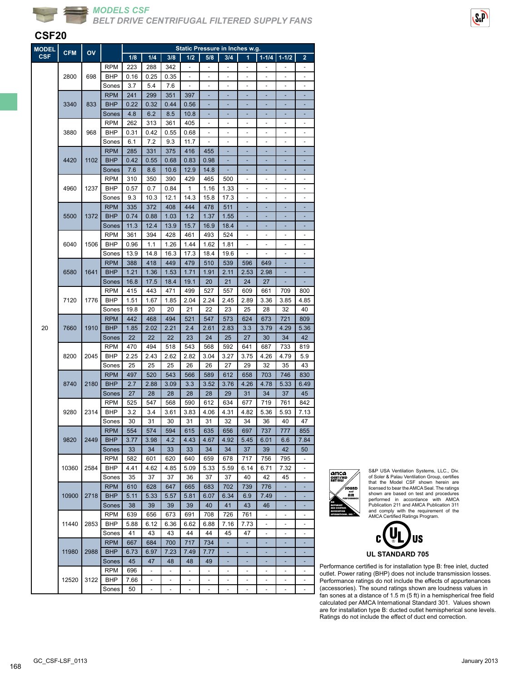



#### **CSF20**

| <b>MODEL</b> | <b>CFM</b> | OV   |            |      |                          |                          |                          | Static Pressure in Inches w.g. |                |                          |                          |                          |                          |
|--------------|------------|------|------------|------|--------------------------|--------------------------|--------------------------|--------------------------------|----------------|--------------------------|--------------------------|--------------------------|--------------------------|
| <b>CSF</b>   |            |      |            | 1/8  | 1/4                      | 3/8                      | 1/2                      | 5/8                            | 3/4            | 1                        | $1 - 1/4$                | $1 - 1/2$                | 2                        |
|              |            |      | <b>RPM</b> | 223  | 288                      | 342                      |                          |                                |                |                          |                          |                          |                          |
|              | 2800       | 698  | BHP        | 0.16 | 0.25                     | 0.35                     |                          |                                |                |                          |                          |                          |                          |
|              |            |      | Sones      | 3.7  | 5.4                      | 7.6                      | ÷,                       | ÷,                             | ÷,             | ÷,                       | $\overline{\phantom{m}}$ | ÷,                       | ۰                        |
|              |            |      | <b>RPM</b> | 241  | 299                      | 351                      | 397                      |                                |                |                          |                          |                          |                          |
|              | 3340       | 833  | <b>BHP</b> | 0.22 | 0.32                     | 0.44                     | 0.56                     |                                |                |                          |                          |                          |                          |
|              |            |      | Sones      | 4.8  | 6.2                      | 8.5                      | 10.8                     |                                |                |                          |                          |                          |                          |
|              |            |      | <b>RPM</b> | 262  | 313                      | 361                      | 405                      |                                |                |                          |                          |                          |                          |
|              | 3880       | 968  | <b>BHP</b> | 0.31 | 0.42                     | 0.55                     | 0.68                     | ÷.                             | ÷,             | ÷,                       | ÷,                       | ÷,                       | ÷,                       |
|              |            |      | Sones      | 6.1  | 7.2                      | 9.3                      | 11.7                     | $\blacksquare$                 | ÷,             | ÷,                       | ÷,                       | ÷,                       | ÷,                       |
|              |            |      |            |      |                          |                          |                          |                                |                |                          |                          |                          |                          |
|              |            |      | <b>RPM</b> | 285  | 331                      | 375                      | 416                      | 455                            |                |                          |                          |                          |                          |
|              | 4420       | 1102 | <b>BHP</b> | 0.42 | 0.55                     | 0.68                     | 0.83                     | 0.98                           |                |                          |                          |                          |                          |
|              |            |      | Sones      | 7.6  | 8.6                      | 10.6                     | 12.9                     | 14.8                           |                |                          |                          |                          |                          |
|              |            |      | <b>RPM</b> | 310  | 350                      | 390                      | 429                      | 465                            | 500            | ÷,                       | ÷,                       | ÷,                       | ÷,                       |
|              | 4960       | 1237 | BHP        | 0.57 | 0.7                      | 0.84                     | 1                        | 1.16                           | 1.33           | $\overline{\phantom{a}}$ | ÷,                       | ÷,                       | ÷,                       |
|              |            |      | Sones      | 9.3  | 10.3                     | 12.1                     | 14.3                     | 15.8                           | 17.3           |                          |                          |                          |                          |
|              |            |      | <b>RPM</b> | 335  | 372                      | 408                      | 444                      | 478                            | 511            |                          |                          |                          |                          |
|              | 5500       | 1372 | <b>BHP</b> | 0.74 | 0.88                     | 1.03                     | 1.2                      | 1.37                           | 1.55           |                          |                          |                          |                          |
|              |            |      | Sones      | 11.3 | 12.4                     | 13.9                     | 15.7                     | 16.9                           | 18.4           |                          |                          |                          |                          |
|              |            |      | <b>RPM</b> | 361  | 394                      | 428                      | 461                      | 493                            | 524            | $\overline{\phantom{m}}$ | $\overline{\phantom{m}}$ | $\overline{\phantom{m}}$ | $\overline{a}$           |
|              | 6040       | 1506 | BHP        | 0.96 | 1.1                      | 1.26                     | 1.44                     | 1.62                           | 1.81           |                          |                          |                          |                          |
|              |            |      | Sones      | 13.9 | 14.8                     | 16.3                     | 17.3                     | 18.4                           | 19.6           |                          |                          |                          |                          |
|              |            |      | <b>RPM</b> | 388  | 418                      | 449                      | 479                      | 510                            | 539            | 596                      | 649                      |                          |                          |
|              | 6580       | 1641 | <b>BHP</b> | 1.21 | 1.36                     | 1.53                     | 1.71                     | 1.91                           | 2.11           | 2.53                     | 2.98                     |                          |                          |
|              |            |      | Sones      | 16.8 | 17.5                     | 18.4                     | 19.1                     | 20                             | 21             | 24                       | 27                       |                          |                          |
|              |            |      |            |      |                          |                          |                          |                                |                |                          |                          |                          |                          |
|              |            |      | <b>RPM</b> | 415  | 443                      | 471                      | 499                      | 527                            | 557            | 609                      | 661                      | 709                      | 800                      |
|              | 7120       | 1776 | BHP        | 1.51 | 1.67                     | 1.85                     | 2.04                     | 2.24                           | 2.45           | 2.89                     | 3.36                     | 3.85                     | 4.85                     |
|              |            |      | Sones      | 19.8 | 20                       | 20                       | 21                       | 22                             | 23             | 25                       | 28                       | 32                       | 40                       |
|              |            |      | <b>RPM</b> | 442  | 468                      | 494                      | 521                      | 547                            | 573            | 624                      | 673                      | 721                      | 809                      |
| 20           | 7660       | 1910 | <b>BHP</b> | 1.85 | 2.02                     | 2.21                     | 2.4                      | 2.61                           | 2.83           | 3.3                      | 3.79                     | 4.29                     | 5.36                     |
|              |            |      | Sones      | 22   | 22                       | 22                       | 23                       | 24                             | 25             | 27                       | 30                       | 34                       | 42                       |
|              |            |      | <b>RPM</b> | 470  | 494                      | 518                      | 543                      | 568                            | 592            | 641                      | 687                      | 733                      | 819                      |
|              | 8200       | 2045 | BHP        | 2.25 | 2.43                     | 2.62                     | 2.82                     | 3.04                           | 3.27           | 3.75                     | 4.26                     | 4.79                     | 5.9                      |
|              |            |      | Sones      | 25   | 25                       | 25                       | 26                       | 26                             | 27             | 29                       | 32                       | 35                       | 43                       |
|              |            |      | <b>RPM</b> | 497  | 520                      | 543                      | 566                      | 589                            | 612            | 658                      | 703                      | 746                      | 830                      |
|              | 8740       | 2180 | <b>BHP</b> | 2.7  | 2.88                     | 3.09                     | 3.3                      | 3.52                           | 3.76           | 4.26                     | 4.78                     | 5.33                     | 6.49                     |
|              |            |      | Sones      | 27   | 28                       | 28                       | 28                       | 28                             | 29             | 31                       | 34                       | 37                       | 45                       |
|              |            |      | <b>RPM</b> | 525  | 547                      | 568                      | 590                      | 612                            | 634            | 677                      | 719                      | 761                      | 842                      |
|              | 9280       | 2314 | BHP        | 3.2  | 3.4                      | 3.61                     | 3.83                     | 4.06                           | 4.31           | 4.82                     | 5.36                     | 5.93                     | 7.13                     |
|              |            |      | Sones      | 30   | 31                       | 30                       | 31                       | 31                             | 32             | 34                       | 36                       | 40                       | 47                       |
|              |            |      | <b>RPM</b> | 554  | 574                      | 594                      | 615                      | 635                            | 656            | 697                      | 737                      | 777                      | 855                      |
|              | 9820       | 2449 | <b>BHP</b> | 3.77 | 3.98                     | 4.2                      | 4.43                     | 4.67                           | 4.92           | 5.45                     | 6.01                     | 6.6                      | 7.84                     |
|              |            |      |            |      |                          |                          |                          |                                |                |                          |                          |                          |                          |
|              |            |      | Sones      | 33   | 34                       | 33                       | 33                       | 34                             | 34             | 37                       | 39                       | 42                       | 50                       |
|              |            |      | <b>RPM</b> | 582  | 601                      | 620                      | 640                      | 659                            | 678            | 717                      | 756                      | 795                      |                          |
|              | 10360      | 2584 | BHP        | 4.41 | 4.62                     | 4.85                     | 5.09                     | 5.33                           | 5.59           | 6.14                     | 6.71                     | 7.32                     | $\overline{\phantom{0}}$ |
|              |            |      | Sones      | 35   | 37                       | 37                       | 36                       | 37                             | 37             | 40                       | 42                       | 45                       | $\overline{\phantom{0}}$ |
|              |            |      | <b>RPM</b> | 610  | 628                      | 647                      | 665                      | 683                            | 702            | 739                      | 776                      |                          |                          |
|              | 10900      | 2718 | <b>BHP</b> | 5.11 | 5.33                     | 5.57                     | 5.81                     | 6.07                           | 6.34           | 6.9                      | 7.49                     |                          |                          |
|              |            |      | Sones      | 38   | 39                       | 39                       | 39                       | 40                             | 41             | 43                       | 46                       |                          |                          |
|              |            |      | <b>RPM</b> | 639  | 656                      | 673                      | 691                      | 708                            | 726            | 761                      | ÷                        | ÷,                       | ÷                        |
|              | 11440      | 2853 | <b>BHP</b> | 5.88 | 6.12                     | 6.36                     | 6.62                     | 6.88                           | 7.16           | 7.73                     | $\overline{\phantom{a}}$ | $\overline{\phantom{a}}$ | ÷,                       |
|              |            |      | Sones      | 41   | 43                       | 43                       | 44                       | 44                             | 45             | 47                       |                          |                          |                          |
|              |            |      | <b>RPM</b> | 667  | 684                      | 700                      | 717                      | 734                            |                |                          |                          |                          |                          |
|              | 11980      | 2988 | <b>BHP</b> | 6.73 | 6.97                     | 7.23                     | 7.49                     | 7.77                           |                |                          |                          |                          |                          |
|              |            |      | Sones      | 45   | 47                       | 48                       | 48                       | 49                             |                |                          |                          |                          |                          |
|              |            |      | <b>RPM</b> | 696  | $\blacksquare$           | $\overline{\phantom{a}}$ | $\overline{\phantom{a}}$ | $\blacksquare$                 | $\blacksquare$ | $\overline{\phantom{a}}$ | ٠                        | $\overline{\phantom{a}}$ | $\overline{\phantom{m}}$ |
|              | 12520      | 3122 | BHP        |      |                          |                          | $\overline{\phantom{a}}$ |                                |                |                          | $\overline{\phantom{m}}$ | $\overline{\phantom{m}}$ | ۰                        |
|              |            |      |            | 7.66 | ٠                        | -                        |                          | ۰                              | ۰              | -                        |                          |                          |                          |
|              |            |      | Sones      | 50   | $\overline{\phantom{m}}$ |                          |                          |                                |                |                          |                          |                          |                          |



S&P USA Ventilation Systems, LLC., Div. of Soler & Palau Ventilation Group, certifies that the Model CSF shown herein are licensed to bear the AMCA Seal. The ratings shown are based on test and procedures performed in accordance with AMCA Publication 211 and AMCA Publication 311 and comply with the requirement of the AMCA Certified Ratings Program.

**U** C **US UL STANDARD 705**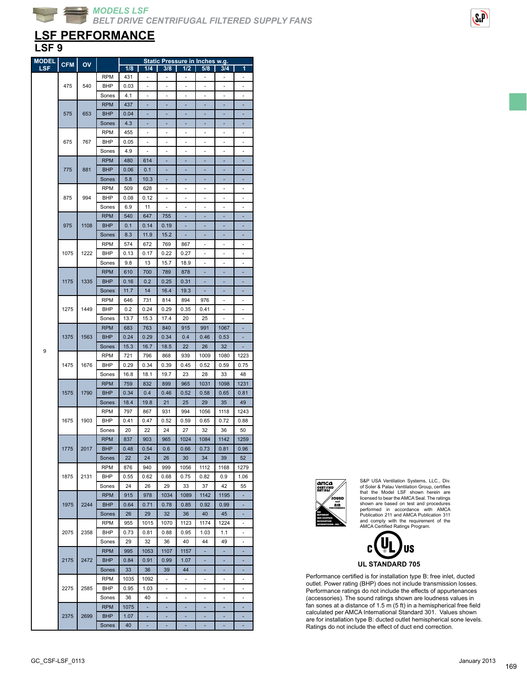## **LSF PERFORMANCE**

### **LSF 9**

| <b>MODEL</b> | <b>CFM</b> | OV   |            |      |                          |                          | <u>'Static Pressure in Inches w.g.</u> |                          |                          |                          |
|--------------|------------|------|------------|------|--------------------------|--------------------------|----------------------------------------|--------------------------|--------------------------|--------------------------|
| <b>LSF</b>   |            |      |            | 1/8  | 1/4                      | 3/8                      | 1/2                                    | 5/8                      | 3/4                      | 1                        |
|              |            |      | RPM        | 431  | $\overline{\phantom{a}}$ | ÷,                       | $\overline{\phantom{m}}$               | $\overline{\phantom{m}}$ | $\overline{\phantom{a}}$ | $\overline{\phantom{0}}$ |
|              |            |      |            |      |                          |                          |                                        |                          |                          |                          |
|              | 475        | 540  | <b>BHP</b> | 0.03 |                          |                          |                                        |                          | ä,                       |                          |
|              |            |      | Sones      | 4.1  |                          |                          |                                        |                          |                          |                          |
|              |            |      | <b>RPM</b> | 437  |                          |                          |                                        |                          |                          |                          |
|              | 575        | 653  | <b>BHP</b> | 0.04 |                          |                          |                                        |                          |                          |                          |
|              |            |      |            |      |                          |                          |                                        |                          |                          |                          |
|              |            |      | Sones      | 4.3  | ٠                        | ٠                        | ٠                                      | ٠                        | ٠                        | ٠                        |
|              |            |      | <b>RPM</b> | 455  | ٠                        | ٠                        | ٠                                      | ٠                        | ٠                        | ٠                        |
|              | 675        | 767  | BHP        | 0.05 |                          |                          |                                        |                          |                          |                          |
|              |            |      | Sones      | 4.9  |                          |                          |                                        |                          |                          |                          |
|              |            |      |            |      |                          |                          |                                        |                          |                          |                          |
|              |            |      | <b>RPM</b> | 480  | 614                      |                          |                                        |                          |                          |                          |
|              | 775        | 881  | <b>BHP</b> | 0.06 | 0.1                      | ٠                        | ٠                                      | ٠                        | ٠                        | ٠                        |
|              |            |      | Sones      | 5.8  | 10.3                     |                          |                                        |                          |                          |                          |
|              |            |      | <b>RPM</b> | 509  | 628                      |                          |                                        |                          |                          |                          |
|              |            |      |            |      |                          |                          |                                        |                          |                          |                          |
|              | 875        | 994  | BHP        | 0.08 | 0.12                     |                          |                                        |                          |                          |                          |
|              |            |      | Sones      | 6.9  | 11                       |                          |                                        | ÷                        | i,                       |                          |
|              |            |      | <b>RPM</b> | 540  | 647                      | 755                      | ä,                                     | ä,                       | ä,                       | ä,                       |
|              | 975        | 1108 | <b>BHP</b> |      |                          |                          |                                        |                          |                          |                          |
|              |            |      |            | 0.1  | 0.14                     | 0.19                     |                                        |                          |                          |                          |
|              |            |      | Sones      | 8.3  | 11.9                     | 15.2                     |                                        |                          |                          |                          |
|              |            |      | <b>RPM</b> | 574  | 672                      | 769                      | 867                                    |                          |                          |                          |
|              | 1075       | 1222 | <b>BHP</b> | 0.13 | 0.17                     | 0.22                     | 0.27                                   |                          | i.                       |                          |
|              |            |      |            |      |                          |                          |                                        |                          |                          |                          |
|              |            |      | Sones      | 9.8  | 13                       | 15.7                     | 18.9                                   | $\overline{\phantom{0}}$ | $\bar{ }$                | ٠                        |
|              |            |      | <b>RPM</b> | 610  | 700                      | 789                      | 878                                    |                          |                          |                          |
|              | 1175       | 1335 | <b>BHP</b> | 0.16 | 0.2                      | 0.25                     | 0.31                                   |                          |                          |                          |
|              |            |      |            | 11.7 | 14                       | 16.4                     | 19.3                                   |                          |                          |                          |
|              |            |      | Sones      |      |                          |                          |                                        |                          |                          |                          |
|              |            |      | <b>RPM</b> | 646  | 731                      | 814                      | 894                                    | 976                      | ÷,                       | ÷                        |
|              | 1275       | 1449 | BHP        | 0.2  | 0.24                     | 0.29                     | 0.35                                   | 0.41                     | $\overline{\phantom{a}}$ | $\overline{\phantom{m}}$ |
|              |            |      | Sones      | 13.7 | 15.3                     | 17.4                     | 20                                     | 25                       |                          |                          |
|              |            |      |            |      |                          |                          |                                        |                          |                          |                          |
|              |            |      | <b>RPM</b> | 683  | 763                      | 840                      | 915                                    | 991                      | 1067                     |                          |
|              | 1375       | 1563 | <b>BHP</b> | 0.24 | 0.29                     | 0.34                     | 0.4                                    | 0.46                     | 0.53                     |                          |
|              |            |      | Sones      | 15.3 | 16.7                     | 18.5                     | 22                                     | 26                       | 32                       |                          |
| 9            |            |      | <b>RPM</b> | 721  | 796                      | 868                      | 939                                    | 1009                     | 1080                     | 1223                     |
|              |            |      |            |      |                          |                          |                                        |                          |                          |                          |
|              | 1475       | 1676 | <b>BHP</b> | 0.29 | 0.34                     | 0.39                     | 0.45                                   | 0.52                     | 0.59                     | 0.75                     |
|              |            |      | Sones      | 16.8 | 18.1                     | 19.7                     | 23                                     | 28                       | 33                       | 48                       |
|              |            |      | <b>RPM</b> | 759  | 832                      | 899                      | 965                                    | 1031                     | 1098                     | 1231                     |
|              | 1575       | 1790 | <b>BHP</b> | 0.34 | 0.4                      | 0.46                     | 0.52                                   | 0.58                     | 0.65                     | 0.81                     |
|              |            |      |            |      |                          |                          |                                        |                          |                          |                          |
|              |            |      | Sones      | 18.4 | 19.8                     | 21                       | 25                                     | 29                       | 35                       | 49                       |
|              |            |      | <b>RPM</b> | 797  | 867                      | 931                      | 994                                    | 1056                     | 1118                     | 1243                     |
|              | 1675       | 1903 | BHP        | 0.41 | 0.47                     | 0.52                     | 0.59                                   | 0.65                     | 0.72                     | 0.88                     |
|              |            |      |            |      |                          |                          |                                        |                          |                          |                          |
|              |            |      | Sones      | 20   | 22                       | 24                       | 27                                     | 32                       | 36                       | 50                       |
|              |            |      | <b>RPM</b> | 837  | 903                      | 965                      | 1024                                   | 1084                     | 1142                     | 1259                     |
|              | 1775       | 2017 | <b>BHP</b> | 0.48 | 0.54                     | 0.6                      | 0.66                                   | 0.73                     | 0.81                     | 0.96                     |
|              |            |      | Sones      | 22   | 24                       | 26                       | 30                                     | 34                       | 39                       | 52                       |
|              |            |      |            |      |                          |                          |                                        |                          |                          |                          |
|              |            |      | <b>RPM</b> | 876  | 940                      | 999                      | 1056                                   | 1112                     | 1168                     | 1279                     |
|              | 1875       | 2131 | BHP        | 0.55 | 0.62                     | 0.68                     | 0.75                                   | 0.82                     | 0.9                      | 1.06                     |
|              |            |      | Sones      | 24   | 26                       | 29                       | 33                                     | 37                       | 42                       | 55                       |
|              |            |      | <b>RPM</b> | 915  | 978                      | 1034                     | 1089                                   | 1142                     | 1195                     | ÷,                       |
|              |            |      |            |      |                          |                          |                                        |                          |                          |                          |
|              | 1975       | 2244 | <b>BHP</b> | 0.64 | 0.71                     | 0.78                     | 0.85                                   | 0.92                     | 0.99                     | ٠                        |
|              |            |      | Sones      | 26   | 29                       | 32                       | 36                                     | 40                       | 45                       |                          |
|              |            |      | RPM        | 955  | 1015                     | 1070                     | 1123                                   | 1174                     | 1224                     |                          |
|              | 2075       | 2358 | BHP        | 0.73 | 0.81                     | 0.88                     | 0.95                                   | 1.03                     | 1.1                      | ÷,                       |
|              |            |      |            |      |                          |                          |                                        |                          |                          |                          |
|              |            |      | Sones      | 29   | 32                       | 36                       | 40                                     | 44                       | 49                       | ä,                       |
|              |            |      | <b>RPM</b> | 995  | 1053                     | 1107                     | 1157                                   |                          | ۰                        |                          |
|              | 2175       | 2472 | <b>BHP</b> | 0.84 | 0.91                     | 0.99                     | 1.07                                   |                          |                          |                          |
|              |            |      |            |      |                          |                          |                                        |                          |                          |                          |
|              |            |      | Sones      | 33   | 36                       | 39                       | 44                                     |                          |                          |                          |
|              |            |      | <b>RPM</b> | 1035 | 1092                     | $\overline{\phantom{a}}$ | $\overline{\phantom{a}}$               |                          | ÷,                       | ÷,                       |
|              | 2275       | 2585 | BHP        | 0.95 | 1.03                     | $\overline{\phantom{a}}$ | $\overline{\phantom{a}}$               | $\frac{1}{2}$            | $\overline{\phantom{a}}$ | $\overline{\phantom{0}}$ |
|              |            |      | Sones      | 36   | 40                       |                          | ٠                                      |                          | ٠                        |                          |
|              |            |      |            |      |                          |                          |                                        |                          |                          |                          |
|              |            |      | <b>RPM</b> | 1075 |                          |                          |                                        |                          |                          |                          |
|              | 2375       | 2699 | <b>BHP</b> | 1.07 |                          |                          |                                        |                          |                          |                          |
|              |            |      | Sones      | 40   |                          |                          |                                        |                          |                          |                          |



S&P USA Ventilation Systems, LLC., Div. of Soler & Palau Ventilation Group, certifies that the Model LSF shown herein are licensed to bear the AMCA Seal. The ratings shown are based on test and procedures performed in accordance with AMCA Publication 211 and AMCA Publication 311 and comply with the requirement of the AMCA Certified Ratings Program.



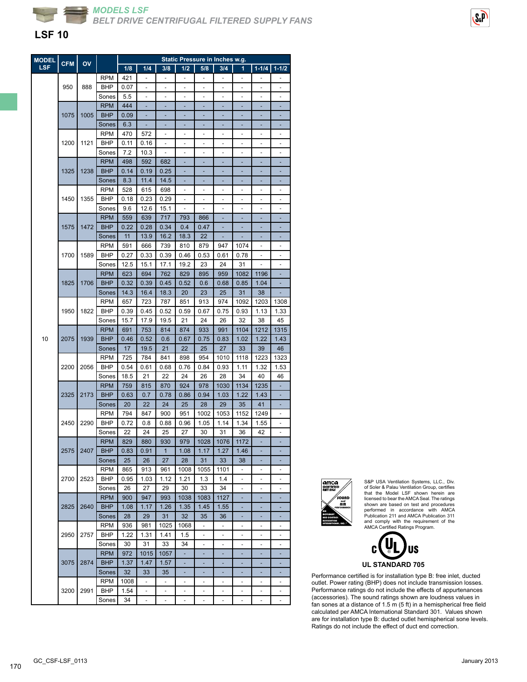

### **LSF 10**

| <b>MODEL</b> | <b>CFM</b> | OV        |            |      |                          |                          |                          | Static Pressure in Inches w.g. |                          |                              |                          |                          |
|--------------|------------|-----------|------------|------|--------------------------|--------------------------|--------------------------|--------------------------------|--------------------------|------------------------------|--------------------------|--------------------------|
| <b>LSF</b>   |            |           |            | 1/8  | 1/4                      | 3/8                      | 1/2                      | 5/8                            | 3/4                      | 1                            | $1 - 1/4$                | $1 - 1/2$                |
|              |            |           | <b>RPM</b> | 421  | $\blacksquare$           | ÷                        | $\blacksquare$           | $\overline{\phantom{a}}$       | $\blacksquare$           | $\blacksquare$               | $\overline{\phantom{a}}$ | -                        |
|              | 950        | 888       | BHP        | 0.07 |                          |                          |                          |                                |                          |                              |                          | ÷,                       |
|              |            |           | Sones      | 5.5  |                          |                          |                          |                                |                          |                              |                          |                          |
|              |            |           | <b>RPM</b> | 444  |                          |                          |                          |                                |                          |                              |                          |                          |
|              | 1075       | 1005      | <b>BHP</b> | 0.09 |                          |                          |                          |                                |                          |                              |                          |                          |
|              |            |           | Sones      | 6.3  | ٠                        | ٠                        | ٠                        | ٠                              | ٠                        | ٠                            | ٠                        | ٠                        |
|              |            |           | <b>RPM</b> | 470  |                          |                          |                          |                                | ٠                        |                              |                          |                          |
|              |            |           |            |      | 572                      | $\overline{\phantom{m}}$ | $\overline{a}$           | $\qquad \qquad \blacksquare$   |                          | $\overline{a}$               | ٠                        | $\overline{a}$           |
|              | 1200       | 1121      | <b>BHP</b> | 0.11 | 0.16                     |                          |                          | $\overline{\phantom{m}}$       |                          |                              |                          | -                        |
|              |            |           | Sones      | 7.2  | 10.3                     |                          |                          |                                |                          |                              |                          |                          |
|              |            |           | <b>RPM</b> | 498  | 592                      | 682                      |                          |                                |                          |                              |                          |                          |
|              | 1325       | 1238      | <b>BHP</b> | 0.14 | 0.19                     | 0.25                     | ÷                        | ٠                              | ٠                        | ٠                            | ٠                        | ٠                        |
|              |            |           | Sones      | 8.3  | 11.4                     | 14.5                     | ٠                        | ۳                              | ٠                        | ٠                            | ۳                        | ٠                        |
|              |            |           | <b>RPM</b> | 528  | 615                      | 698                      |                          |                                |                          |                              |                          |                          |
|              | 1450       | 1355      | BHP        | 0.18 | 0.23                     | 0.29                     |                          |                                |                          |                              |                          |                          |
|              |            |           | Sones      | 9.6  | 12.6                     | 15.1                     |                          |                                |                          |                              |                          |                          |
|              |            |           | <b>RPM</b> | 559  | 639                      | 717                      | 793                      | 866                            | ٠                        | ٠                            | ٠                        |                          |
|              | 1575       | 1472      | <b>BHP</b> | 0.22 | 0.28                     | 0.34                     | 0.4                      | 0.47                           |                          |                              |                          |                          |
|              |            |           | Sones      | 11   | 13.9                     | 16.2                     | 18.3                     | 22                             |                          |                              |                          |                          |
|              |            |           | <b>RPM</b> | 591  | 666                      | 739                      | 810                      | 879                            | 947                      | 1074                         |                          |                          |
|              | 1700       | 1589      | <b>BHP</b> | 0.27 | 0.33                     | 0.39                     | 0.46                     | 0.53                           | 0.61                     | 0.78                         |                          |                          |
|              |            |           | Sones      | 12.5 | 15.1                     | 17.1                     | 19.2                     | 23                             | 24                       | 31                           | L,                       | ÷,                       |
|              |            |           |            | 623  |                          |                          | 829                      |                                |                          |                              |                          |                          |
|              |            |           | <b>RPM</b> |      | 694                      | 762                      |                          | 895                            | 959                      | 1082                         | 1196                     | ٠                        |
|              | 1825       | 1706      | <b>BHP</b> | 0.32 | 0.39                     | 0.45                     | 0.52                     | 0.6                            | 0.68                     | 0.85                         | 1.04                     |                          |
|              |            |           | Sones      | 14.3 | 16.4                     | 18.3                     | 20                       | 23                             | 25                       | 31                           | 38                       |                          |
|              |            |           | <b>RPM</b> | 657  | 723                      | 787                      | 851                      | 913                            | 974                      | 1092                         | 1203                     | 1308                     |
|              | 1950       | 1822      | <b>BHP</b> | 0.39 | 0.45                     | 0.52                     | 0.59                     | 0.67                           | 0.75                     | 0.93                         | 1.13                     | 1.33                     |
|              |            |           | Sones      | 15.7 | 17.9                     | 19.5                     | 21                       | 24                             | 26                       | 32                           | 38                       | 45                       |
|              |            |           | <b>RPM</b> | 691  | 753                      | 814                      | 874                      | 933                            | 991                      | 1104                         | 1212                     | 1315                     |
| 10           | 2075       | 1939      | <b>BHP</b> | 0.46 | 0.52                     | 0.6                      | 0.67                     | 0.75                           | 0.83                     | 1.02                         | 1.22                     | 1.43                     |
|              |            |           | Sones      | 17   | 19.5                     | 21                       | 22                       | 25                             | 27                       | 33                           | 39                       | 46                       |
|              |            |           | <b>RPM</b> | 725  | 784                      | 841                      | 898                      | 954                            | 1010                     | 1118                         | 1223                     | 1323                     |
|              | 2200       | 2056      | <b>BHP</b> | 0.54 | 0.61                     | 0.68                     | 0.76                     | 0.84                           | 0.93                     | 1.11                         | 1.32                     | 1.53                     |
|              |            |           | Sones      | 18.5 | 21                       | 22                       | 24                       | 26                             | 28                       | 34                           | 40                       | 46                       |
|              |            |           | <b>RPM</b> | 759  | 815                      | 870                      | 924                      | 978                            | 1030                     | 1134                         | 1235                     |                          |
|              | 2325       | 2173      | <b>BHP</b> | 0.63 |                          | 0.78                     | 0.86                     | 0.94                           |                          | 1.22                         | 1.43                     |                          |
|              |            |           |            |      | 0.7                      |                          |                          |                                | 1.03                     |                              |                          |                          |
|              |            |           | Sones      | 20   | 22                       | 24                       | 25                       | 28                             | 29                       | 35                           | 41                       | ÷,                       |
|              |            |           | <b>RPM</b> | 794  | 847                      | 900                      | 951                      | 1002                           | 1053                     | 1152                         | 1249                     | ٠                        |
|              | 2450       | 2290      | BHP        | 0.72 | 0.8                      | 0.88                     | 0.96                     | 1.05                           | 1.14                     | 1.34                         | 1.55                     | ÷,                       |
|              |            |           | Sones      | 22   | 24                       | 25                       | 27                       | 30                             | 31                       | 36                           | 42                       |                          |
|              |            |           | <b>RPM</b> | 829  | 880                      | 930                      | 979                      | 1028                           | 1076                     | 1172                         |                          |                          |
|              |            | 2575 2407 | <b>BHP</b> | 0.83 | 0.91                     | 1                        | 1.08                     | 1.17                           | 1.27                     | 1.46                         |                          |                          |
|              |            |           | Sones      | 25   | 26                       | 27                       | 28                       | 31                             | 33                       | 38                           | ä,                       | ٠                        |
|              |            |           | <b>RPM</b> | 865  | 913                      | 961                      | 1008                     | 1055                           | 1101                     | $\qquad \qquad \blacksquare$ | $\overline{\phantom{m}}$ | $\overline{\phantom{0}}$ |
|              | 2700       | 2523      | BHP        | 0.95 | 1.03                     | 1.12                     | 1.21                     | 1.3                            | 1.4                      |                              |                          |                          |
|              |            |           | Sones      | 26   | 27                       | 29                       | 30                       | 33                             | 34                       |                              |                          |                          |
|              |            |           | <b>RPM</b> | 900  | 947                      | 993                      | 1038                     | 1083                           | 1127                     |                              |                          |                          |
|              | 2825       | 2640      | <b>BHP</b> | 1.08 | 1.17                     | 1.26                     | 1.35                     | 1.45                           |                          |                              | ٠                        | ٠                        |
|              |            |           |            |      |                          |                          |                          |                                | 1.55                     | ٠                            |                          |                          |
|              |            |           | Sones      | 28   | 29                       | 31                       | 32                       | 35                             | 36                       | ٠                            | ۰                        | ٠                        |
|              |            |           | <b>RPM</b> | 936  | 981                      | 1025                     | 1068                     | $\overline{\phantom{m}}$       | $\overline{\phantom{a}}$ |                              |                          |                          |
|              | 2950       | 2757      | BHP        | 1.22 | 1.31                     | 1.41                     | 1.5                      |                                |                          |                              |                          |                          |
|              |            |           | Sones      | 30   | 31                       | 33                       | 34                       | ÷,                             |                          |                              |                          |                          |
|              |            |           | <b>RPM</b> | 972  | 1015                     | 1057                     | ÷.                       | ÷,                             |                          |                              | ٠                        |                          |
|              | 3075       | 2874      | <b>BHP</b> | 1.37 | 1.47                     | 1.57                     | ۰                        | ٠                              | ٠                        | ٠                            | ٠                        | ٠                        |
|              |            |           | Sones      | 32   | 33                       | 35                       |                          |                                |                          |                              |                          |                          |
|              |            |           | <b>RPM</b> | 1008 |                          |                          |                          |                                |                          |                              |                          |                          |
|              | 3200       | 2991      | BHP        | 1.54 | ÷,                       | ÷,                       | ÷,                       |                                | ÷,                       | ÷,                           | ä,                       |                          |
|              |            |           | Sones      | 34   | $\overline{\phantom{m}}$ | $\overline{\phantom{a}}$ | $\overline{\phantom{m}}$ | $\qquad \qquad \blacksquare$   | $\overline{\phantom{m}}$ | $\overline{\phantom{m}}$     | $\overline{\phantom{0}}$ | ÷,                       |
|              |            |           |            |      |                          |                          |                          |                                |                          |                              |                          |                          |



S&P USA Ventilation Systems, LLC., Div.<br>of Soler & Palau Ventilation Group, cettifies<br>that the Model LSF shown herein are<br>licensed to bear the AMCA Seal. The ratings<br>shown are based on test and procedures<br>performed in acco





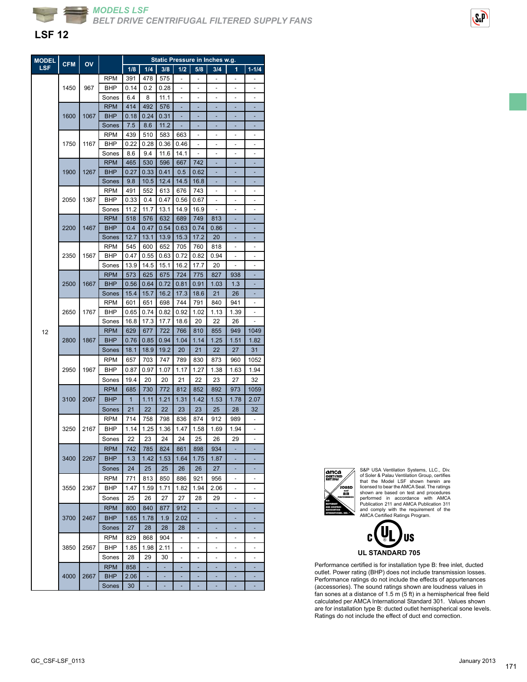

### **LSF 12**

| Static Pressure in Inches w.g.<br><b>MODEL</b><br><b>CFM</b><br>OV |      |      |            |      |      |      |                              |                          |                          |                          |                          |
|--------------------------------------------------------------------|------|------|------------|------|------|------|------------------------------|--------------------------|--------------------------|--------------------------|--------------------------|
| LSF                                                                |      |      |            | 1/8  | 1/4  | 3/8  | $1/2$                        | 5/8                      | 3/4                      | 1                        | $1 - 1/4$                |
|                                                                    |      |      | <b>RPM</b> | 391  | 478  | 575  | $\qquad \qquad \blacksquare$ | ÷,                       | $\overline{\phantom{a}}$ | $\overline{\phantom{a}}$ |                          |
|                                                                    | 1450 | 967  | BHP        | 0.14 | 0.2  | 0.28 |                              |                          |                          |                          |                          |
|                                                                    |      |      | Sones      | 6.4  | 8    | 11.1 |                              |                          |                          |                          |                          |
|                                                                    |      |      | <b>RPM</b> | 414  | 492  | 576  |                              |                          |                          |                          |                          |
|                                                                    | 1600 | 1067 | <b>BHP</b> | 0.18 | 0.24 | 0.31 |                              |                          |                          |                          |                          |
|                                                                    |      |      | Sones      | 7.5  | 8.6  | 11.2 |                              |                          |                          |                          |                          |
|                                                                    |      |      | <b>RPM</b> | 439  | 510  | 583  | 663                          | $\overline{\phantom{m}}$ | $\overline{\phantom{0}}$ | $\overline{\phantom{m}}$ | $\overline{\phantom{0}}$ |
|                                                                    | 1750 | 1167 | <b>BHP</b> | 0.22 | 0.28 | 0.36 | 0.46                         |                          |                          |                          |                          |
|                                                                    |      |      | Sones      | 8.6  | 9.4  | 11.6 | 14.1                         |                          |                          |                          |                          |
|                                                                    |      |      | <b>RPM</b> | 465  | 530  | 596  | 667                          | 742                      |                          |                          |                          |
|                                                                    | 1900 | 1267 | <b>BHP</b> | 0.27 | 0.33 | 0.41 | 0.5                          | 0.62                     |                          |                          |                          |
|                                                                    |      |      | Sones      | 9.8  | 10.5 | 12.4 | 14.5                         | 16.8                     | ٠                        | ÷,                       | ÷                        |
|                                                                    |      |      | <b>RPM</b> | 491  | 552  | 613  | 676                          | 743                      |                          | ٠                        | ٠                        |
|                                                                    | 2050 | 1367 | BHP        | 0.33 | 0.4  | 0.47 | 0.56                         | 0.67                     |                          |                          |                          |
|                                                                    |      |      | Sones      | 11.2 | 11.7 | 13.1 | 14.9                         | 16.9                     |                          |                          |                          |
|                                                                    |      |      | <b>RPM</b> | 518  | 576  | 632  | 689                          | 749                      | 813                      |                          |                          |
|                                                                    | 2200 | 1467 | <b>BHP</b> | 0.4  | 0.47 | 0.54 | 0.63                         | 0.74                     | 0.86                     | ×,                       | ä,                       |
|                                                                    |      |      | Sones      | 12.7 | 13.1 | 13.9 | 15.3                         | 17.2                     | 20                       |                          |                          |
|                                                                    |      |      | <b>RPM</b> | 545  | 600  | 652  | 705                          | 760                      | 818                      |                          |                          |
|                                                                    | 2350 | 1567 | BHP        | 0.47 | 0.55 | 0.63 | 0.72                         | 0.82                     | 0.94                     |                          |                          |
|                                                                    |      |      | Sones      | 13.9 | 14.5 | 15.1 | 16.2                         | 17.7                     | 20                       | L.                       |                          |
|                                                                    |      |      | <b>RPM</b> | 573  | 625  | 675  | 724                          | 775                      | 827                      | 938                      |                          |
|                                                                    | 2500 | 1667 | <b>BHP</b> | 0.56 | 0.64 | 0.72 | 0.81                         | 0.91                     | 1.03                     | 1.3                      |                          |
|                                                                    |      |      | Sones      | 15.4 | 15.7 | 16.2 | 17.3                         | 18.6                     | 21                       | 26                       |                          |
|                                                                    |      |      | <b>RPM</b> | 601  | 651  | 698  | 744                          | 791                      | 840                      | 941                      |                          |
|                                                                    | 2650 | 1767 | BHP        | 0.65 | 0.74 | 0.82 | 0.92                         | 1.02                     | 1.13                     | 1.39                     |                          |
|                                                                    |      |      | Sones      | 16.8 | 17.3 | 17.7 | 18.6                         | 20                       | 22                       | 26                       |                          |
| 12                                                                 |      |      | <b>RPM</b> | 629  | 677  | 722  | 766                          | 810                      | 855                      | 949                      | 1049                     |
|                                                                    | 2800 | 1867 | <b>BHP</b> | 0.76 | 0.85 | 0.94 | 1.04                         | 1.14                     | 1.25                     | 1.51                     | 1.82                     |
|                                                                    |      |      | Sones      | 18.1 | 18.9 | 19.2 | 20                           | 21                       | 22                       | 27                       | 31                       |
|                                                                    |      |      | RPM        | 657  | 703  | 747  | 789                          | 830                      | 873                      | 960                      | 1052                     |
|                                                                    | 2950 | 1967 | BHP        | 0.87 | 0.97 | 1.07 | 1.17                         | 1.27                     | 1.38                     | 1.63                     | 1.94                     |
|                                                                    |      |      | Sones      | 19.4 | 20   | 20   | 21                           | 22                       | 23                       | 27                       | 32                       |
|                                                                    |      |      | <b>RPM</b> | 685  | 730  | 772  | 812                          | 852                      | 892                      | 973                      | 1059                     |
|                                                                    | 3100 | 2067 | <b>BHP</b> | 1    | 1.11 | 1.21 | 1.31                         | 1.42                     | 1.53                     | 1.78                     | 2.07                     |
|                                                                    |      |      | Sones      | 21   | 22   | 22   | 23                           | 23                       | 25                       | 28                       | 32                       |
|                                                                    |      |      | <b>RPM</b> | 714  | 758  | 798  | 836                          | 874                      | 912                      | 989                      | $\overline{\phantom{a}}$ |
|                                                                    | 3250 | 2167 | BHP        | 1.14 | 1.25 | 1.36 | 1.47                         | 1.58                     | 1.69                     | 1.94                     | ۰                        |
|                                                                    |      |      | Sones      | 22   | 23   | 24   | 24                           | 25                       | 26                       | 29                       |                          |
|                                                                    |      |      | <b>RPM</b> | 742  | 785  | 824  | 861                          | 898                      | 934                      |                          |                          |
|                                                                    | 3400 | 2267 | <b>BHP</b> | 1.3  | 1.42 | 1.53 | 1.64                         | 1.75                     | 1.87                     |                          |                          |
|                                                                    |      |      | Sones      | 24   | 25   | 25   | 26                           | 26                       | 27                       |                          |                          |
|                                                                    |      |      | <b>RPM</b> | 771  | 813  | 850  | 886                          | 921                      | 956                      |                          | $\overline{\phantom{m}}$ |
|                                                                    | 3550 | 2367 | BHP        | 1.47 | 1.59 | 1.71 | 1.82                         | 1.94                     | 2.06                     |                          |                          |
|                                                                    |      |      | Sones      | 25   | 26   | 27   | 27                           | 28                       | 29                       | ÷,                       | ä,                       |
|                                                                    |      |      | <b>RPM</b> | 800  | 840  | 877  | 912                          |                          |                          |                          |                          |
|                                                                    | 3700 | 2467 | <b>BHP</b> | 1.65 | 1.78 | 1.9  | 2.02                         | ÷,                       | ÷,                       | ÷,                       | ÷                        |
|                                                                    |      |      | Sones      | 27   | 28   | 28   | 28                           | ٠                        | ٠                        | ٠                        | ٠                        |
|                                                                    |      |      | <b>RPM</b> | 829  | 868  | 904  | $\overline{\phantom{m}}$     | $\overline{\phantom{a}}$ | ۰                        | -                        | -                        |
|                                                                    |      | 2567 | BHP        | 1.85 | 1.98 |      |                              |                          |                          |                          | ٠                        |
|                                                                    | 3850 |      |            |      |      | 2.11 |                              |                          |                          |                          |                          |
|                                                                    |      |      | Sones      | 28   | 29   | 30   |                              |                          |                          |                          |                          |
|                                                                    |      |      | <b>RPM</b> | 858  | ٠    | ٠    |                              |                          |                          |                          | ٠                        |
|                                                                    | 4000 | 2667 | BHP        | 2.06 | L,   |      |                              |                          |                          |                          |                          |
|                                                                    |      |      | Sones      | 30   |      |      |                              |                          |                          |                          |                          |



S&P USA Ventilation Systems, LLC., Div. of Soler & Palau Ventilation Group, certifies that the Model LSF shown herein are<br>licensed to bearthe AMCA Seal. The ratings<br>shown are based on test and procedures<br>performed in accordance with AMCA<br>Publication 211 and AMCA Publication 311<br>and comply with the requireme



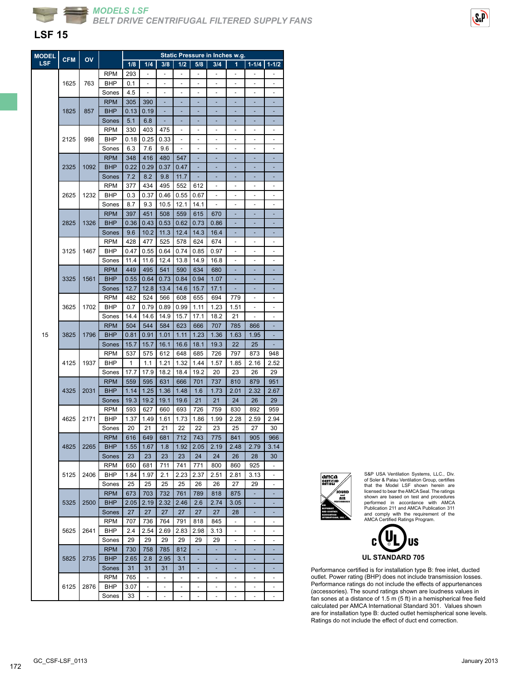

### **LSF 15**

| <b>MODEL</b> |            | OV   |            |      |               |               |                          |                          | <b>Static Pressure in Inches w.g.</b> |      |                          |                          |
|--------------|------------|------|------------|------|---------------|---------------|--------------------------|--------------------------|---------------------------------------|------|--------------------------|--------------------------|
| LSF          | <b>CFM</b> |      |            | 1/8  | 1/4           | 3/8           | 1/2                      | 5/8                      | 3/4                                   | 1    | $1 - 1/4$                | $1 - 1/2$                |
|              |            |      | RPM        | 293  |               | i,            | ÷,                       | ÷,                       |                                       | ÷,   |                          |                          |
|              | 1625       | 763  | BHP        | 0.1  |               |               |                          |                          |                                       |      |                          |                          |
|              |            |      | Sones      | 4.5  |               |               |                          |                          |                                       |      |                          |                          |
|              |            |      | <b>RPM</b> | 305  | 390           | ä,            |                          | ä,                       |                                       |      |                          |                          |
|              |            |      |            |      |               |               |                          |                          |                                       |      | ×,                       |                          |
|              | 1825       | 857  | <b>BHP</b> | 0.13 | 0.19          | ÷,            | ÷,                       | ä,                       |                                       | ÷,   |                          |                          |
|              |            |      | Sones      | 5.1  | 6.8           | ÷             | ۳                        | ÷                        |                                       | ۰    |                          |                          |
|              |            |      | <b>RPM</b> | 330  | 403           | 475           |                          |                          |                                       |      |                          |                          |
|              | 2125       | 998  | BHP        | 0.18 | 0.25          | 0.33          |                          |                          |                                       |      |                          |                          |
|              |            |      | Sones      | 6.3  | 7.6           | 9.6           | $\overline{\phantom{a}}$ | ÷,                       | ä,                                    | ä,   |                          | ä,                       |
|              |            |      | <b>RPM</b> | 348  | 416           | 480           | 547                      | ٠                        | ÷                                     | ٠    | ٠                        |                          |
|              | 2325       | 1092 | <b>BHP</b> | 0.22 | 0.29          | 0.37          | 0.47                     | ÷                        | ٠                                     | ٠    | ٠                        |                          |
|              |            |      | Sones      | 7.2  | 8.2           | 9.8           | 11.7                     |                          |                                       |      |                          |                          |
|              |            |      | <b>RPM</b> | 377  | 434           | 495           | 552                      | 612                      |                                       |      |                          |                          |
|              | 2625       | 1232 | BHP        | 0.3  | 0.37          | 0.46          | 0.55                     | 0.67                     |                                       |      |                          |                          |
|              |            |      | Sones      | 8.7  | 9.3           | 10.5          | 12.1                     | 14.1                     | ÷,                                    | ٠    | $\overline{\phantom{a}}$ | ä,                       |
|              |            |      | <b>RPM</b> | 397  | 451           | 508           | 559                      | 615                      | 670                                   | ۰    | ٠                        |                          |
|              | 2825       | 1326 | <b>BHP</b> | 0.36 | 0.43          | 0.53          | 0.62                     | 0.73                     | 0.86                                  |      |                          |                          |
|              |            |      | Sones      | 9.6  | 10.2          | 11.3          | 12.4                     | 14.3                     | 16.4                                  |      |                          |                          |
|              |            |      | <b>RPM</b> | 428  |               | 525           |                          |                          | 674                                   | L,   |                          |                          |
|              |            |      | <b>BHP</b> |      | 477           |               | 578<br>0.74              | 624                      |                                       |      |                          |                          |
|              | 3125       | 1467 |            | 0.47 | 0.55          | 0.64          |                          | 0.85                     | 0.97                                  | -    | $\overline{\phantom{a}}$ | ٠                        |
|              |            |      | Sones      | 11.4 | 11.6          | 12.4          | 13.8                     | 14.9                     | 16.8                                  |      |                          |                          |
|              | 3325       |      | <b>RPM</b> | 449  | 495           | 541           | 590                      | 634                      | 680                                   |      |                          |                          |
|              |            | 1561 | <b>BHP</b> | 0.55 | 0.64          | 0.73          | 0.84                     | 0.94                     | 1.07                                  |      |                          |                          |
|              |            |      | Sones      | 12.7 | 12.8          | 13.4          | 14.6                     | 15.7                     | 17.1                                  |      |                          |                          |
|              |            |      | <b>RPM</b> | 482  | 524           | 566           | 608                      | 655                      | 694                                   | 779  | $\overline{\phantom{m}}$ | ٠                        |
|              | 3625       | 1702 | BHP        | 0.7  | 0.79          | 0.89          | 0.99                     | 1.11                     | 1.23                                  | 1.51 | $\overline{\phantom{m}}$ | $\overline{\phantom{m}}$ |
|              |            |      | Sones      | 14.4 | 14.6          | 14.9          | 15.7                     | 17.1                     | 18.2                                  | 21   |                          |                          |
|              |            |      | <b>RPM</b> | 504  | 544           | 584           | 623                      | 666                      | 707                                   | 785  | 866                      |                          |
| 15           | 3825       | 1796 | <b>BHP</b> | 0.81 | 0.91          | 1.01          | 1.11                     | 1.23                     | 1.36                                  | 1.63 | 1.95                     |                          |
|              |            |      | Sones      | 15.7 | 15.7          | 16.1          | 16.6                     | 18.1                     | 19.3                                  | 22   | 25                       |                          |
|              |            |      | <b>RPM</b> | 537  | 575           | 612           | 648                      | 685                      | 726                                   | 797  | 873                      | 948                      |
|              |            |      |            |      |               |               |                          |                          |                                       |      |                          |                          |
|              | 4125       | 1937 | BHP        | 1    | 1.1           | 1.21          | 1.32                     | 1.44                     | 1.57                                  | 1.85 | 2.16                     | 2.52                     |
|              |            |      | Sones      | 17.7 | 17.9          | 18.2          | 18.4                     | 19.2                     | 20                                    | 23   | 26                       | 29                       |
|              |            |      | <b>RPM</b> | 559  | 595           | 631           | 666                      | 701                      | 737                                   | 810  | 879                      | 951                      |
|              | 4325       | 2031 | <b>BHP</b> | 1.14 | 1.25          | 1.36          | 1.48                     | 1.6                      | 1.73                                  | 2.01 | 2.32                     | 2.67                     |
|              |            |      | Sones      | 19.3 | 19.2          | 19.1          | 19.6                     | 21                       | 21                                    | 24   | 26                       | 29                       |
|              |            |      | <b>RPM</b> | 593  | 627           | 660           | 693                      | 726                      | 759                                   | 830  | 892                      | 959                      |
|              | 4625       | 2171 | BHP        | 1.37 | 1.49          | 1.61          | 1.73                     | 1.86                     | 1.99                                  | 2.28 | 2.59                     | 2.94                     |
|              |            |      | Sones      | 20   | 21            | 21            | 22                       | 22                       | 23                                    | 25   | 27                       | 30                       |
|              |            |      | <b>RPM</b> | 616  | 649           | 681           | 712                      | 743                      | 775                                   | 841  | 905                      | 966                      |
|              | 4825       | 2265 | <b>BHP</b> | 1.55 | 1.67          | 1.8           | 1.92                     | 2.05                     | 2.19                                  | 2.48 | 2.79                     | 3.14                     |
|              |            |      | Sones      | 23   | 23            | 23            | 23                       | 24                       | 24                                    | 26   | 28                       | 30                       |
|              |            |      | <b>RPM</b> | 650  | 681           | 711           | 741                      | 771                      | 800                                   | 860  | 925                      |                          |
|              | 5125       | 2406 | BHP        | 1.84 | 1.97          | 2.1           | 2.23                     | 2.37                     | 2.51                                  | 2.81 | 3.13                     |                          |
|              |            |      | Sones      | 25   | 25            | 25            | 25                       | 26                       | 26                                    | 27   | 29                       | ÷,                       |
|              |            |      |            |      |               |               | 761                      |                          |                                       |      | ÷.                       |                          |
|              |            |      | <b>RPM</b> | 673  | 703           | 732           |                          | 789                      | 818                                   | 875  |                          |                          |
|              | 5325       | 2500 | <b>BHP</b> | 2.05 | 2.19          | 2.32          | 2.46                     | 2.6                      | 2.74                                  | 3.05 |                          |                          |
|              |            |      | Sones      | 27   | 27            | 27            | 27                       | 27                       | 27                                    | 28   |                          |                          |
|              |            |      | <b>RPM</b> | 707  | 736           | 764           | 791                      | 818                      | 845                                   |      |                          |                          |
|              | 5625       | 2641 | BHP        | 2.4  | 2.54          | 2.69          | 2.83                     | 2.98                     | 3.13                                  | ä,   |                          |                          |
|              |            |      | Sones      | 29   | 29            | 29            | 29                       | 29                       | 29                                    | ۰    | $\overline{\phantom{a}}$ | ٠                        |
|              |            |      | <b>RPM</b> | 730  | 758           | 785           | 812                      | ٠                        |                                       |      |                          |                          |
|              | 5825       | 2735 | <b>BHP</b> | 2.65 | 2.8           | 2.95          | 3.1                      |                          |                                       |      |                          |                          |
|              |            |      | Sones      | 31   | 31            | 31            | 31                       |                          |                                       |      |                          |                          |
|              |            |      | <b>RPM</b> | 765  | ä,            | ä,            | ÷.                       | $\overline{\phantom{a}}$ | ÷.                                    | ÷,   | ä,                       |                          |
|              | 6125       | 2876 | BHP        | 3.07 | ۰             | ٠             | $\overline{\phantom{a}}$ | $\overline{\phantom{a}}$ | $\overline{\phantom{0}}$              | ۰    | $\overline{\phantom{a}}$ | ٠                        |
|              |            |      |            |      |               |               |                          |                          |                                       |      |                          |                          |
|              |            |      | Sones      | 33   | $\frac{1}{2}$ | $\frac{1}{2}$ | ۰                        | $\overline{\phantom{m}}$ | $\overline{\phantom{a}}$              | -    | $\overline{\phantom{a}}$ | $\overline{\phantom{m}}$ |



S&P USA Ventilation Systems, LLC., Div. of Soler & Palau Ventilation Group, certifies that the Model LSF shown herein are licensed to bear the AMCA Seal. The ratings shown are based on test and procedures performed in accordance with AMCA Publication 211 and AMCA Publication 311 and comply with the requirement of the AMCA Certified Ratings Program.



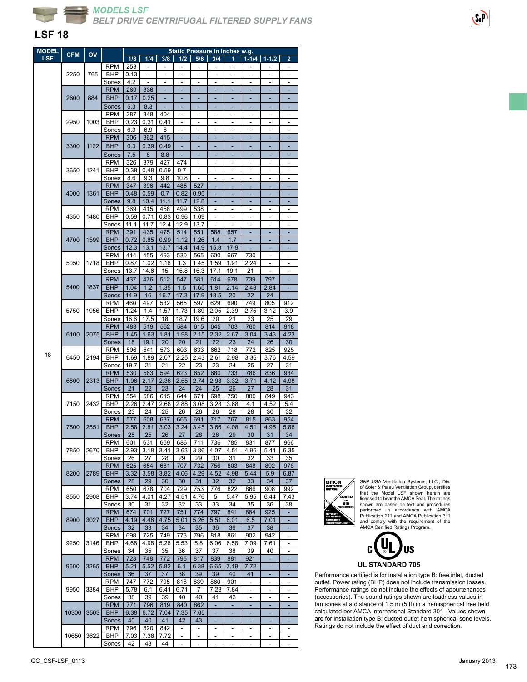

#### **LSF 18**

| <b>MODEL</b> | <b>CFM</b>   | OV                           |                          | <b>Static Pressure in Inches w.g.</b> |                |             |                          |                          |                          |                          |                          |                              |                          |
|--------------|--------------|------------------------------|--------------------------|---------------------------------------|----------------|-------------|--------------------------|--------------------------|--------------------------|--------------------------|--------------------------|------------------------------|--------------------------|
| <b>LSF</b>   |              |                              |                          | 1/8                                   | 1/4            | 3/8         | 1/2                      | 5/8                      | 3/4                      | 1                        | $1 - 1/4$                | $1 - 1/2$                    | $\overline{2}$           |
|              |              |                              | <b>RPM</b>               | 253                                   |                |             |                          |                          |                          |                          |                          |                              |                          |
|              | 2250         | 765                          | <b>BHP</b>               | 0.13                                  | $\overline{a}$ | ÷,          | $\overline{a}$           | L,                       | L,                       | $\overline{a}$           | L,                       | L                            | $\overline{a}$           |
|              |              |                              | Sones                    | 4.2                                   |                | L.          | $\overline{a}$           |                          | L.                       | $\overline{a}$           | ÷                        |                              | L.                       |
|              |              |                              | <b>RPM</b>               | 269                                   | 336            | ÷,          | ÷,                       | L,                       | ä,                       | L,                       | ä,                       | L,                           | L,                       |
|              | 2600         | 884                          | <b>BHP</b>               | 0.17                                  | 0.25           |             |                          |                          |                          |                          |                          |                              |                          |
|              |              |                              | Sones                    | 5.3                                   | 8.3            | ÷           | ٠                        | ÷,                       | ٠                        | ÷,                       | ٠                        | ÷,                           | ٠                        |
|              |              |                              | <b>RPM</b>               | 287                                   | 348            | 404         | ٠                        |                          | Ĭ.                       | $\overline{a}$           | ۰                        |                              |                          |
|              | 2950         | 1003                         | <b>BHP</b>               | 0.23                                  | 0.31           | 0.41        | $\frac{1}{2}$            | L,                       | L,                       | $\overline{a}$           | $\overline{a}$           | $\overline{a}$               | $\overline{a}$           |
|              |              |                              | Sones                    | 6.3                                   | 6.9            | 8           | ä,                       | ٠                        | L,                       | $\overline{a}$           | ä,                       | Ĭ.                           | ٠                        |
|              |              |                              | <b>RPM</b>               | 306                                   | 362            | 415         | Ξ                        | ÷                        | ÷,                       | ÷,                       | ÷,                       | ÷                            | ÷,                       |
|              | 3300         | 1122                         | <b>BHP</b>               | 0.3                                   | 0.39           | 0.49        | ÷                        |                          |                          |                          | ۰                        |                              |                          |
|              |              |                              | Sones                    | 7.5                                   | 8              | 8.8         |                          |                          |                          |                          |                          |                              |                          |
|              |              |                              |                          |                                       |                |             |                          |                          |                          |                          |                          |                              |                          |
|              |              | 1241                         | <b>RPM</b><br><b>BHP</b> | 326                                   | 379            | 427         | 474<br>0.7               |                          | -                        | -                        | ٠                        |                              | -                        |
|              | 3650         |                              | Sones                    | 0.38<br>8.6                           | 0.48<br>9.3    | 0.59<br>9.8 | 10.8                     |                          |                          |                          |                          |                              |                          |
|              |              |                              | <b>RPM</b>               | 347                                   | 396            | 442         | 485                      | 527                      |                          | -                        |                          |                              | -                        |
|              |              |                              | <b>BHP</b>               |                                       |                |             |                          |                          |                          |                          |                          |                              |                          |
|              | 4000         | 1361                         |                          | 0.48                                  | 0.59           | 0.7         | 0.82                     | 0.95                     |                          |                          |                          |                              |                          |
|              |              |                              | Sones                    | 9.8                                   | 10.4           | 11.1        | 11.7                     | 12.8                     |                          |                          |                          |                              |                          |
|              |              |                              | <b>RPM</b>               | 369                                   | 415            | 458         | 499                      | 538                      |                          | -                        |                          | -                            | $\overline{a}$           |
|              | 4350         | 1480                         | <b>BHP</b>               | 0.59                                  | 0.71           | 0.83        | 0.96                     | 1.09                     |                          |                          |                          |                              |                          |
|              |              |                              | Sones                    | 11.1                                  | 11.7           | 12.4        | 12.9                     | 13.7                     |                          |                          |                          |                              |                          |
|              |              |                              | <b>RPM</b>               | 391                                   | 435            | 475         | 514                      | 551                      | 588                      | 657                      |                          |                              |                          |
|              | 4700         | 1599                         | <b>BHP</b>               | 0.72                                  | 0.85           | 0.99        | 1.12                     | 1.26                     | 1.4                      | 1.7                      |                          |                              |                          |
|              |              |                              | Sones                    | 12.3                                  | 13.1           | 13.7        | 14.4                     | 14.9                     | 15.8                     | 17.9                     |                          |                              |                          |
|              |              |                              | <b>RPM</b>               | 414                                   | 455            | 493         | 530                      | 565                      | 600                      | 667                      | 730                      |                              | L,                       |
|              | 5050         | 1718                         | BHP                      | 0.87                                  | 1.02           | 1.16        | 1.3                      | 1.45                     | 1.59                     | 1.91                     | 2.24                     |                              |                          |
|              |              |                              | Sones                    | 13.7                                  | 14.6           | 15          | 15.8                     | 16.3                     | 17.1                     | 19.1                     | 21                       |                              | L.                       |
|              |              |                              | <b>RPM</b>               | 437                                   | 476            | 512         | 547                      | 581                      | 614                      | 678                      | 739                      | 797                          |                          |
|              | 5400         | 1837                         | <b>BHP</b>               | 1.04                                  | 1.2            | 1.35        | 1.5                      | 1.65                     | 1.81                     | 2.14                     | 2.48                     | 2.84                         | ÷,                       |
|              |              |                              | Sones                    | 14.9                                  | 16             | 16.7        | 17.3                     | 17.9                     | 18.5                     | 20                       | 22                       | 24                           |                          |
|              |              |                              | <b>RPM</b>               | 460                                   | 497            | 532         | 565                      | 597                      | 629                      | 690                      | 749                      | 805                          | 912                      |
|              | 5750         | 1956                         | BHP                      | 1.24                                  | 1.4            | 1.57        | 1.73                     | 1.89                     | 2.05                     | 2.39                     | 2.75                     | 3.12                         | 3.9                      |
|              |              |                              |                          | 16.6                                  | 17.5           | 18          | 18.7                     | 19.6                     | 20                       | 21                       | 23                       | 25                           | 29                       |
|              |              |                              | Sones                    |                                       |                |             |                          |                          |                          |                          |                          |                              |                          |
|              |              |                              | <b>RPM</b>               | 483                                   | 519            | 552         | 584                      | 615                      | 645                      | 703                      | 760                      | 814                          | 918                      |
|              | 6100         | 2075                         | <b>BHP</b>               | 1.45                                  | 1.63           | 1.81        | 1.98                     | 2.15                     | 2.32                     | 2.67                     | 3.04                     | 3.43                         | 4.23                     |
|              |              |                              | Sones                    | 18                                    | 19.1           | 20          | 20                       | 21                       | 22                       | 23                       | 24                       | 26                           | 30                       |
| 18           | 6450         |                              | <b>RPM</b>               | 506                                   | 541            | 573         | 603                      | 633                      | 662                      | 718                      | 772                      | 825                          | 925                      |
|              |              | 2194                         | <b>BHP</b>               | 1.69                                  | 1.89           | 2.07        | 2.25                     | 2.43                     | 2.61                     | 2.98                     | 3.36                     | 3.76                         | 4.59                     |
|              |              |                              | Sones                    | 19.7                                  | 21             | 21          | 22                       | 23                       | 23                       | 24                       | 25                       | 27                           | 31                       |
|              |              | 2313<br>2432                 | <b>RPM</b>               | 530                                   | 563            | 594         | 623                      | 652                      | 680                      | 733                      | 786                      | 836                          | 934                      |
|              | 6800         |                              | <b>BHP</b>               | 1.96                                  | 2.17           | 2.36        | 2.55                     | 2.74                     | 2.93                     | 3.32                     | 3.71                     | 4.12                         | 4.98                     |
|              |              |                              | Sones                    | 21                                    | 22             | 23          | 24                       | 24                       | 25                       | 26                       | 27                       | 28                           | 31                       |
|              |              |                              | <b>RPM</b>               | 554                                   | 586            | 615         | 644                      | 671                      | 698                      | 750                      | 800                      | 849                          | 943                      |
|              | 7150         |                              | <b>BHP</b>               | 2.26                                  | 2.47           | 2.68        | 2.88                     | 3.08                     | 3.28                     | 3.68                     | 4.1                      | 4.52                         | 5.4                      |
|              |              |                              | Sones                    | 23                                    | 24             | 25          | 26                       | 26                       | 26                       | 28                       | 28                       | 30                           | 32                       |
|              | 7500<br>7850 | 2551<br>2670<br>2789<br>2908 | <b>RPM</b>               | 577                                   | 608            | 637         | 665                      | 691                      | 717                      | 767                      | 815                      | 863                          | 954                      |
|              |              |                              | <b>BHP</b>               | 2.58                                  | 2.81           | 3.03        | 3.24                     | 3.45                     | 3.66                     | 4.08                     | 4.51                     | 4.95                         | 5.86                     |
|              |              |                              | Sones                    | 25                                    | 25             | 26          | $\mathbf{z}$             | 28                       | 28                       | 29                       | 30                       | 31                           | 34                       |
|              |              |                              | <b>RPM</b>               | 601                                   | 631            | 659         | 686                      | 711                      | 736                      | 785                      | 831                      | 877                          | 966                      |
|              |              |                              | <b>BHP</b>               | 2.93                                  | 3.18           | 3.41        | 3.63                     | 3.86                     | 4.07                     | 4.51                     | 4.96                     | 5.41                         | 6.35                     |
|              |              |                              | Sones                    | 26                                    | 27             | 28          | 29                       | 29                       | 30                       | 31                       | 32                       | 33                           | 35                       |
|              |              |                              | <b>RPM</b>               | 625                                   | 654            | 681         | 707                      | 732                      | 756                      | 803                      | 848                      | 892                          | 978                      |
|              | 8200         |                              | <b>BHP</b>               | 3.32                                  | 3.58           | 3.82        | 4.06                     | 4.29                     | 4.52                     | 4.98                     | 5.44                     | 5.9                          | 6.87                     |
|              |              |                              | Sones                    | 28                                    | 29             | 30          | 30                       | 31                       | 32                       | 32                       | 33                       | 34                           | 37                       |
|              |              |                              | <b>RPM</b>               | 650                                   | 678            | 704         | 729                      | 753                      | 776                      | 822                      | 866                      | 908                          | 992                      |
|              | 8550         |                              | BHP                      | 3.74                                  | 4.01           | 4.27        | 4.51                     | 4.76                     | 5                        | 5.47                     | 5.95                     | 6.44                         | 7.43                     |
|              |              |                              | Sones                    | 30                                    | 31             | 32          | 32                       | 33                       | 33                       | 34                       | 35                       | 36                           | 38                       |
|              |              |                              | <b>RPM</b>               | 674                                   | 701            | 727         | 751                      | 774                      | 797                      | 841                      | 884                      | 925                          | ٠                        |
|              | 8900         | 3027                         | <b>BHP</b>               | 4.19                                  | 4.48           | 4.75        | 5.01                     | 5.26                     | 5.51                     | 6.01                     | 6.5                      | 7.01                         | ÷                        |
|              |              |                              | Sones                    | 32                                    | 33             | 34          | 34                       | 35                       | 36                       |                          | 37                       |                              | ٠                        |
|              |              |                              |                          |                                       |                |             |                          |                          |                          | 36                       |                          | 38                           |                          |
|              |              |                              | <b>RPM</b>               | 698                                   | 725            | 749         | 773                      | 796                      | 818                      | 861                      | 902                      | 942                          | $\overline{\phantom{a}}$ |
|              | 9250         | 3146                         | BHP                      | 4.68                                  | 4.98           | 5.26        | 5.53                     | 5.8                      | 6.06                     | 6.58                     | 7.09                     | 7.61                         | ٠                        |
|              |              |                              | Sones                    | 34                                    | 35             | 35          | 36                       | 37                       | 37                       | 38                       | 39                       | 40                           | $\overline{\phantom{0}}$ |
|              |              |                              | <b>RPM</b>               | 723                                   | 748            | 772         | 795                      | 817                      | 839                      | 881                      | 921                      | ٠                            | ٠                        |
|              | 9600         | 3265                         | <b>BHP</b>               | 5.21                                  | 5.52           | 5.82        | 6.1                      | 6.38                     | 6.65                     | 7.19                     | 7.72                     | ÷                            | ٠                        |
|              |              |                              | Sones                    | 36                                    | 37             | 37          | 38                       | 39                       | 39                       | 40                       | 41                       |                              | ٠                        |
|              |              |                              | <b>RPM</b>               | 747                                   | 772            | 795         | 818                      | 839                      | 860                      | 901                      | ÷,                       | $\overline{\phantom{a}}$     | $\overline{\phantom{a}}$ |
|              | 9950         | 3384                         | BHP                      | 5.78                                  | 6.1            | 6.41        | 6.71                     | 7                        | 7.28                     | 7.84                     | ٠                        | $\overline{\phantom{0}}$     | $\overline{\phantom{a}}$ |
|              |              |                              | Sones                    | 38                                    | 39             | 39          | 40                       | 40                       | 41                       | 43                       | $\overline{\phantom{a}}$ | $\overline{\phantom{0}}$     | $\overline{\phantom{a}}$ |
|              |              |                              | <b>RPM</b>               | 771                                   | 796            | 819         | 840                      | 862                      | ٠                        | Ξ                        | ٠                        |                              | ٠                        |
|              | 10300        | 3503                         | <b>BHP</b>               | 6.38                                  | 6.72           | 7.04        | 7.35                     | 7.65                     | ÷,                       | ÷,                       | Ξ                        | ÷                            | $\blacksquare$           |
|              |              |                              | Sones                    | 40                                    | 40             | 41          | 42                       | 43                       | ٠                        | Ξ                        | ٠                        | ۰                            | ٠                        |
|              |              |                              | <b>RPM</b>               | 796                                   | 820            | 842         | $\sim$                   | $\sim$                   | $\overline{\phantom{a}}$ | $\overline{\phantom{a}}$ | ٠                        | ٠                            | ٠                        |
|              | 10650        | 3622                         | BHP                      | 7.03                                  | 7.38           | 7.72        | $\overline{\phantom{a}}$ | $\overline{\phantom{a}}$ | $\overline{a}$           | $\overline{\phantom{a}}$ | -                        | $\qquad \qquad \blacksquare$ | $\overline{\phantom{a}}$ |
|              |              |                              | Sones                    | 42                                    | 43             | 44          | $\Box$                   | $\blacksquare$           | $\overline{\phantom{a}}$ | $\blacksquare$           | $\frac{1}{2}$            | $\frac{1}{2}$                | $\overline{\phantom{a}}$ |



S&P USA Ventilation Systems, LLC., Div. of Soler & Palau Ventilation Group, certifies that the Model LSF shown herein are licensed to bear the AMCA Seal. The ratings shown are based on test and procedures performed in accordance with AMCA Publication 211 and AMCA Publication 311 and comply with the requirement of the AMCA Certified Ratings Program.



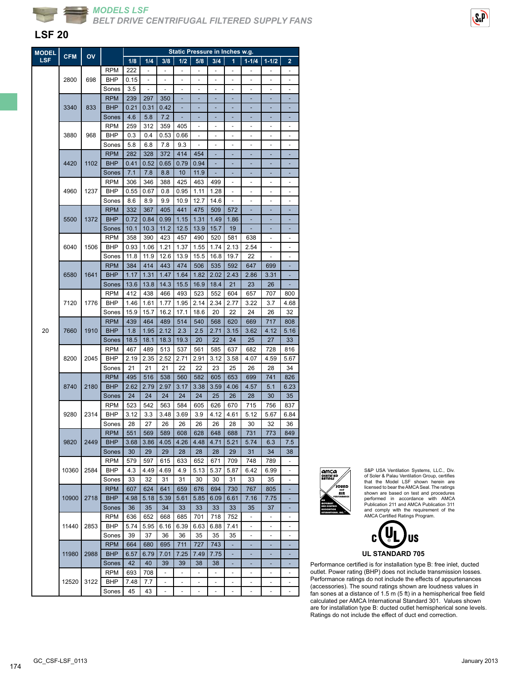

#### **LSF 20**

| <b>MODEL</b> |            | OV   |                     | Static Pressure in Inches w.g. |      |                          |                |                              |                              |                          |                          |                                 |                          |
|--------------|------------|------|---------------------|--------------------------------|------|--------------------------|----------------|------------------------------|------------------------------|--------------------------|--------------------------|---------------------------------|--------------------------|
| <b>LSF</b>   | <b>CFM</b> |      |                     | 1/8                            | 1/4  | 3/8                      | 1/2            | 5/8                          | 3/4                          | 1                        | $1 - 1/4$                | $1 - 1/2$                       | $\overline{2}$           |
|              |            |      | <b>RPM</b>          | 222                            | -    | $\frac{1}{2}$            | $\frac{1}{2}$  | $\qquad \qquad \blacksquare$ | $\overline{\phantom{a}}$     | ۰                        | ۰                        | $\qquad \qquad \blacksquare$    | -                        |
|              | 2800       | 698  | BHP                 | 0.15                           |      |                          |                |                              |                              |                          |                          |                                 |                          |
|              |            |      | Sones               | 3.5                            |      |                          |                |                              |                              |                          |                          |                                 |                          |
|              |            |      | <b>RPM</b>          | 239                            | 297  | 350                      |                |                              |                              |                          |                          |                                 |                          |
|              | 3340       | 833  | <b>BHP</b>          | 0.21                           | 0.31 | 0.42                     | ÷              | ۳                            | ۰                            |                          | ÷                        |                                 | ٠                        |
|              |            |      | Sones               | 4.6                            | 5.8  | 7.2                      | ٠              | ٠                            | ٠                            | ٠                        | ٠                        | ٠                               | ٠                        |
|              |            |      |                     |                                |      |                          |                | ä,                           | ÷                            | ÷,                       | ÷,                       | ٠                               | ÷,                       |
|              |            |      | <b>RPM</b>          | 259                            | 312  | 359                      | 405            |                              |                              |                          |                          |                                 |                          |
|              | 3880       | 968  | BHP                 | 0.3                            | 0.4  | 0.53                     | 0.66           |                              |                              |                          |                          |                                 |                          |
|              |            |      | Sones               | 5.8                            | 6.8  | 7.8                      | 9.3            |                              |                              |                          |                          |                                 |                          |
|              |            |      | <b>RPM</b>          | 282                            | 328  | 372                      | 414            | 454                          | ÷                            |                          | ٠                        |                                 | ٠                        |
|              | 4420       | 1102 | <b>BHP</b>          | 0.41                           | 0.52 | 0.65                     | 0.79           | 0.94                         | ٠                            |                          | ÷                        | ٠                               | ٠                        |
|              |            |      | Sones               | 7.1                            | 7.8  | 8.8                      | 10             | 11.9                         |                              |                          |                          |                                 |                          |
|              |            |      | <b>RPM</b>          | 306                            | 346  | 388                      | 425            | 463                          | 499                          |                          |                          |                                 | ٠                        |
|              | 4960       | 1237 | BHP                 | 0.55                           | 0.67 | 0.8                      | 0.95           | 1.11                         | 1.28                         |                          |                          |                                 |                          |
|              |            |      | Sones               | 8.6                            | 8.9  | 9.9                      | 10.9           | 12.7                         | 14.6                         | ä,                       | ٠                        | ٠                               | ٠                        |
|              |            |      | <b>RPM</b>          | 332                            | 367  | 405                      | 441            | 475                          | 509                          | 572                      | ٠                        | ٠                               | ٠                        |
|              | 5500       | 1372 | <b>BHP</b>          | 0.72                           | 0.84 | 0.99                     | 1.15           | 1.31                         | 1.49                         | 1.86                     |                          |                                 |                          |
|              |            |      | Sones               | 10.1                           | 10.3 | 11.2                     | 12.5           | 13.9                         | 15.7                         | 19                       |                          |                                 |                          |
|              |            |      | <b>RPM</b>          | 358                            | 390  | 423                      | 457            | 490                          | 520                          | 581                      | 638                      |                                 |                          |
|              | 6040       | 1506 | BHP                 | 0.93                           | 1.06 | 1.21                     | 1.37           | 1.55                         | 1.74                         | 2.13                     | 2.54                     | $\overline{\phantom{a}}$        | ÷,                       |
|              |            |      | Sones               | 11.8                           | 11.9 | 12.6                     | 13.9           | 15.5                         | 16.8                         | 19.7                     | 22                       | $\centering \label{eq:reduced}$ | -                        |
|              | 6580       | 1641 | <b>RPM</b>          | 384                            | 414  | 443                      | 474            | 506                          | 535                          | 592                      | 647                      | 699                             |                          |
|              |            |      | <b>BHP</b>          | 1.17                           | 1.31 | 1.47                     | 1.64           | 1.82                         | 2.02                         | 2.43                     | 2.86                     | 3.31                            |                          |
|              |            |      | Sones               | 13.6                           | 13.8 | 14.3                     | 15.5           | 16.9                         | 18.4                         | 21                       | 23                       | 26                              |                          |
|              | 7120       |      | <b>RPM</b>          | 412                            | 438  | 466                      | 493            | 523                          | 552                          | 604                      | 657                      | 707                             | 800                      |
|              |            | 1776 | BHP                 | 1.46                           | 1.61 | 1.77                     | 1.95           | 2.14                         | 2.34                         | 2.77                     | 3.22                     | 3.7                             | 4.68                     |
|              |            |      | Sones               | 15.9                           | 15.7 | 16.2                     | 17.1           | 18.6                         | 20                           | 22                       | 24                       | 26                              | 32                       |
|              | 7660       |      | <b>RPM</b>          | 439                            | 464  | 489                      | 514            | 540                          | 568                          | 620                      | 669                      | 717                             | 808                      |
| 20           |            | 1910 | <b>BHP</b>          | 1.8                            | 1.95 | 2.12                     | 2.3            | 2.5                          | 2.71                         | 3.15                     | 3.62                     | 4.12                            | 5.16                     |
|              |            |      | Sones               | 18.5                           | 18.1 | 18.3                     | 19.3           | 20                           | 22                           | 24                       | 25                       | 27                              | 33                       |
|              |            |      | <b>RPM</b>          | 467                            | 489  | 513                      | 537            | 561                          | 585                          | 637                      | 682                      | 728                             | 816                      |
|              | 8200       | 2045 | BHP                 | 2.19                           | 2.35 | 2.52                     | 2.71           | 2.91                         | 3.12                         | 3.58                     | 4.07                     | 4.59                            | 5.67                     |
|              |            |      |                     | 21                             | 21   | 21                       | 22             | 22                           | 23                           |                          | 26                       | 28                              |                          |
|              |            |      | Sones<br><b>RPM</b> | 495                            |      |                          |                |                              | 605                          | 25                       | 699                      | 741                             | 34                       |
|              |            |      |                     |                                | 516  | 538                      | 560            | 582                          | 3.59                         | 653                      |                          |                                 | 826<br>6.23              |
|              | 8740       | 2180 | <b>BHP</b>          | 2.62                           | 2.79 | 2.97                     | 3.17           | 3.38                         |                              | 4.06                     | 4.57                     | 5.1                             |                          |
|              |            |      | Sones               | 24                             | 24   | 24                       | 24             | 24                           | 25                           | 26                       | 28                       | 30                              | 35                       |
|              | 9280       | 2314 | RPM                 | 523                            | 542  | 563                      | 584            | 605                          | 626                          | 670                      | 715                      | 756                             | 837                      |
|              |            |      | BHP                 | 3.12                           | 3.3  | 3.48                     | 3.69           | 3.9                          | 4.12                         | 4.61                     | 5.12                     | 5.67                            | 6.84                     |
|              |            |      | Sones               | 28                             | 27   | 26                       | 26             | 26                           | 26                           | 28                       | 30                       | 32                              | 36                       |
|              |            |      | <b>RPM</b>          | 551                            | 569  | 589                      | 608            | 628                          | 648                          | 688                      | 731                      | 773                             | 849                      |
|              | 9820       | 2449 | <b>BHP</b>          | 3.68                           | 3.86 | 4.05                     | 4.26           | 4.48                         | 4.71                         | 5.21                     | 5.74                     | 6.3                             | 7.5                      |
|              |            |      | Sones               | 30                             | 29   | 29                       | 28             | 28                           | 28                           | 29                       | 31                       | 34                              | 38                       |
|              |            |      | <b>RPM</b>          | 579                            | 597  | 615                      | 633            | 652                          | 671                          | 709                      | 748                      | 789                             |                          |
|              | 10360      | 2584 | BHP                 | 4.3                            | 4.49 | 4.69                     | 4.9            | 5.13                         | 5.37                         | 5.87                     | 6.42                     | 6.99                            |                          |
|              |            |      | Sones               | 33                             | 32   | 31                       | 31             | 30                           | 30                           | 31                       | 33                       | 35                              | ÷,                       |
|              |            |      | <b>RPM</b>          | 607                            | 624  | 641                      | 659            | 676                          | 694                          | 730                      | 767                      | 805                             |                          |
|              | 10900      | 2718 | <b>BHP</b>          | 4.98                           | 5.18 | 5.39                     | 5.61           | 5.85                         | 6.09                         | 6.61                     | 7.16                     | 7.75                            |                          |
|              |            |      | Sones               | 36                             | 35   | 34                       | 33             | 33                           | 33                           | 33                       | 35                       | 37                              |                          |
|              |            |      | <b>RPM</b>          | 636                            | 652  | 668                      | 685            | 701                          | 718                          | 752                      |                          |                                 |                          |
|              | 11440      | 2853 | BHP                 | 5.74                           | 5.95 | 6.16                     | 6.39           | 6.63                         | 6.88                         | 7.41                     | -                        | $\overline{\phantom{a}}$        | ٠                        |
|              |            |      | Sones               | 39                             | 37   | 36                       | 36             | 35                           | 35                           | 35                       | ۰                        | $\overline{\phantom{a}}$        | -                        |
|              |            |      | <b>RPM</b>          | 664                            | 680  | 695                      | 711            | 727                          | 743                          |                          |                          |                                 |                          |
|              | 11980      | 2988 | <b>BHP</b>          | 6.57                           | 6.79 | 7.01                     | 7.25           | 7.49                         | 7.75                         |                          |                          |                                 |                          |
|              |            |      | Sones               | 42                             | 40   | 39                       | 39             | 38                           | 38                           |                          |                          |                                 |                          |
|              |            |      | <b>RPM</b>          | 693                            | 708  | $\blacksquare$           | $\blacksquare$ | $\overline{\phantom{a}}$     | $\blacksquare$               | ÷,                       | $\overline{\phantom{0}}$ | $\overline{\phantom{m}}$        | ٠                        |
|              | 12520      | 3122 | BHP                 | 7.48                           | 7.7  | $\overline{\phantom{a}}$ | $\frac{1}{2}$  | $\qquad \qquad \blacksquare$ | $\overline{\phantom{a}}$     | ۰                        | ۰                        | ۰                               | $\overline{\phantom{a}}$ |
|              |            |      | Sones               | 45                             | 43   | $\overline{\phantom{m}}$ | ÷              | $\overline{\phantom{a}}$     | $\qquad \qquad \blacksquare$ | $\overline{\phantom{a}}$ | ÷                        | $\frac{1}{2}$                   | $\overline{\phantom{a}}$ |
|              |            |      |                     |                                |      |                          |                |                              |                              |                          |                          |                                 |                          |



S&P USA Ventilation Systems, LLC., Div. of Soler & Palau Ventilation Group, certifies that the Model LSF shown herein are licensed to bear the AMCA Seal. The ratings shown are based on test and procedures performed in accordance with AMCA Publication 211 and AMCA Publication 311 and comply with the requirement of the AMCA Certified Ratings Program.



**UL STANDARD 705**